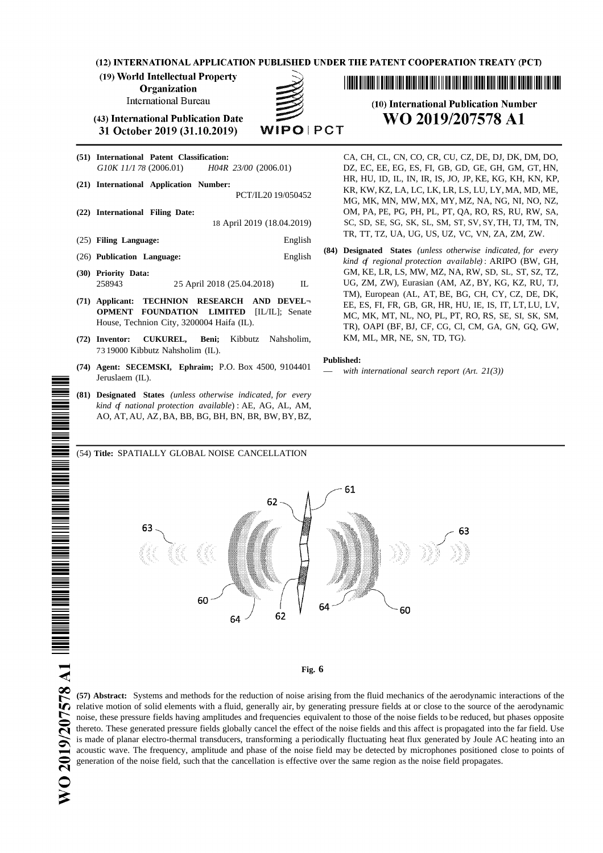(12) INTERNATIONAL APPLICATION PUBLISHED UNDER THE PATENT COOPERATION TREATY (PCT)

(19) World Intellectual Property

**Organization** 

**International Bureau** 

**WIPOIPCT** 

(43) International Publication Date 31 October 2019 (31.10.2019)

- **(22) International Filing Date:** OM, PA, PE, PG, PH, PL, PT, QA, RO, RS, RU, RW, SA, (25) **Filing Language:** English
- 
- 
- **(72) Inventor: CUKUREL, Beni;** Kibbutz Nahsholim, KM, ML, MR, NE, SN, TD, TG). 73 19000 Kibbutz Nahsholim (IL).
- **(74) Agent: SECEMSKI, Ephraim;** P.O. Box 4500, <sup>9104401</sup> *with international search report (Art. 21(3))* Jeruslaem (IL).
- **(81) Designated States** *(unless otherwise indicated, for every kind of national protection available*) : AE, AG, AL, AM, AO, AT, AU, AZ,BA, BB, BG, BH, BN, BR, BW, BY,BZ,

# (10) International Publication Number WO 2019/207578 A1

**(51) International Patent Classification:** CA, CH, CL, CN, CO, CR, CU, CZ, DE, DJ, DK, DM, DO, *G10K 11/1 78* (2006.01) *H04R 23/00* (2006.01) DZ, EC, EE, EG, ES, FI, GB, GD, GE, GH, GM, GT, HN, (21) International Application Number:<br>PCT/IL20 19/050452 HR, HU, ID, IL, IN, IR, IS, JO, JP, KE, KG, KH, KN, KP,<br>MG, MK, MN, MW, MX, MY, MZ, NA, NG, NI, NO, NZ, 18 April 2019 (18.04.2019) SC, SD, SE, SG, SK, SL, SM, ST, SV, SY, TH, TJ, TM, TN, TR, TT, TZ, UA, UG, US, UZ, VC, VN, ZA, ZM, ZW.

**(84) Designated States** *(unless otherwise indicated, for every* (26) **Publication Language:** English *kind of regional protection available) .* ARIPO (BW, GH, **(30) Priority Data:** GM, KE, LR, LS, MW, MZ, NA, RW, SD, SL, ST, SZ, TZ, 258943 25 April 2018 (25.04.2018) IL UG, ZM, ZW), Eurasian (AM, AZ, BY, KG, KZ, RU, TJ, TM), European (AL, AT, BE, BG, CH, CY, CZ, DE, DK, **(71) Applicant: TECHNION RESEARCH AND DEVEL¬** EE, ES, FI, FR, GB, GR, HR, HU, IE, IS, IT, LT, LU, LV, **OPMENT FOUNDATION LIMITED** [IL/IL]; Senate MC, MK, MT, NL, NO, PL, PT, RO, RS, SE, SI, SK, SM, House, Technion City, 3200004 Haifa (IL). TR), OAPI (BF, BJ, CF, CG, Cl, CM, GA, GN, GQ, GW,

#### **Published:**

(54) **Title:** SPATIALLY GLOBAL NOISE CANCELLATION



#### **Fig. 6**

**(57) Abstract:** Systems and methods for the reduction of noise arising from the fluid mechanics of the aerodynamic interactions of the relative motion of solid elements with a fluid, generally air, by generating pressure fields at or close to the source of the aerodynamic noise, these pressure fields having amplitudes and frequencies equivalent to those of the noise fields to be reduced, but phases opposite thereto. These generated pressure fields globally cancel the effect of the noise fields and this affect is propagated into the far field. Use is made of planar electro-thermal transducers, transforming a periodically fluctuating heat flux generated by Joule AC heating into an acoustic wave. The frequency, amplitude and phase of the noise field may be detected by microphones positioned close to points of generation of the noise field, such that the cancellation is effective over the same region as the noise field propagates.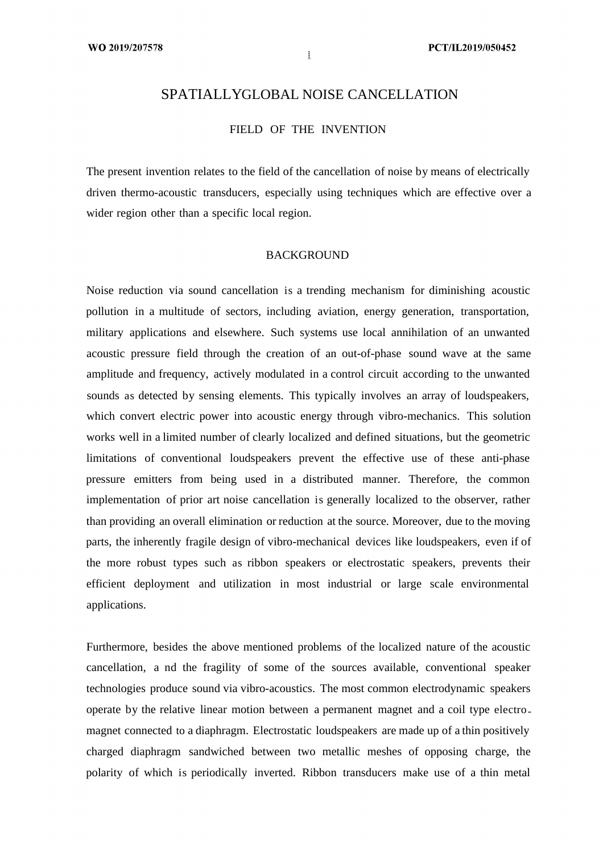# SPATIALLYGLOBAL NOISE CANCELLATION

FIELD OF THE INVENTION

The present invention relates to the field of the cancellation of noise by means of electrically driven thermo-acoustic transducers, especially using techniques which are effective over a wider region other than a specific local region.

## BACKGROUND

Noise reduction via sound cancellation is a trending mechanism for diminishing acoustic pollution in a multitude of sectors, including aviation, energy generation, transportation, military applications and elsewhere. Such systems use local annihilation of an unwanted acoustic pressure field through the creation of an out-of-phase sound wave at the same amplitude and frequency, actively modulated in a control circuit according to the unwanted sounds as detected by sensing elements. This typically involves an array of loudspeakers, which convert electric power into acoustic energy through vibro-mechanics. This solution works well in a limited number of clearly localized and defined situations, but the geometric limitations of conventional loudspeakers prevent the effective use of these anti-phase pressure emitters from being used in a distributed manner. Therefore, the common implementation of prior art noise cancellation is generally localized to the observer, rather than providing an overall elimination or reduction at the source. Moreover, due to the moving parts, the inherently fragile design of vibro-mechanical devices like loudspeakers, even if of the more robust types such as ribbon speakers or electrostatic speakers, prevents their efficient deployment and utilization in most industrial or large scale environmental applications.

Furthermore, besides the above mentioned problems of the localized nature of the acoustic cancellation, a nd the fragility of some of the sources available, conventional speaker technologies produce sound via vibro-acoustics. The most common electrodynamic speakers operate by the relative linear motion between a permanent magnet and a coil type electro magnet connected to a diaphragm. Electrostatic loudspeakers are made up of a thin positively charged diaphragm sandwiched between two metallic meshes of opposing charge, the polarity of which is periodically inverted. Ribbon transducers make use of a thin metal

 $\mathbf{k}$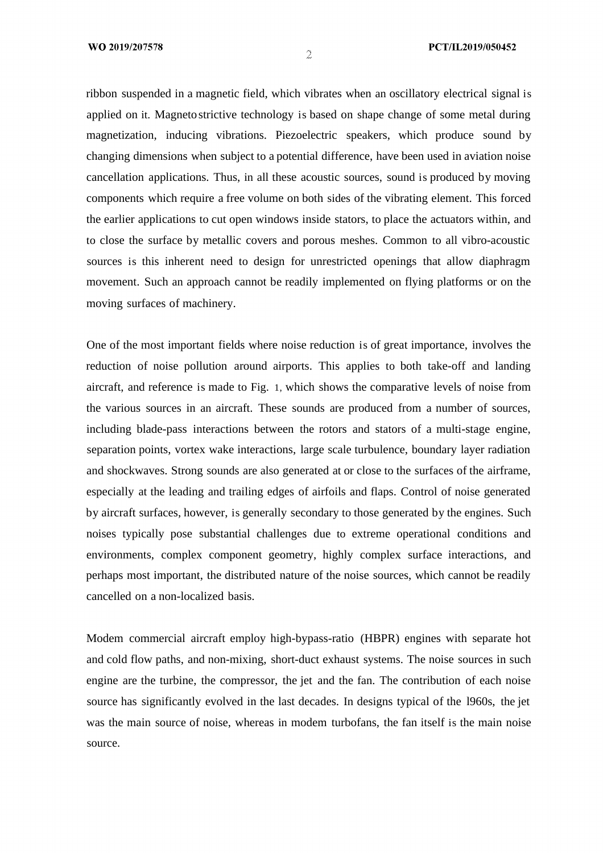ribbon suspended in a magnetic field, which vibrates when an oscillatory electrical signal is applied on it. Magneto strictive technology is based on shape change of some metal during magnetization, inducing vibrations. Piezoelectric speakers, which produce sound by changing dimensions when subject to a potential difference, have been used in aviation noise cancellation applications. Thus, in all these acoustic sources, sound is produced by moving components which require a free volume on both sides of the vibrating element. This forced the earlier applications to cut open windows inside stators, to place the actuators within, and to close the surface by metallic covers and porous meshes. Common to all vibro-acoustic sources is this inherent need to design for unrestricted openings that allow diaphragm movement. Such an approach cannot be readily implemented on flying platforms or on the moving surfaces of machinery.

One of the most important fields where noise reduction is of great importance, involves the reduction of noise pollution around airports. This applies to both take-off and landing aircraft, and reference is made to Fig. 1, which shows the comparative levels of noise from the various sources in an aircraft. These sounds are produced from a number of sources, including blade-pass interactions between the rotors and stators of a multi-stage engine, separation points, vortex wake interactions, large scale turbulence, boundary layer radiation and shockwaves. Strong sounds are also generated at or close to the surfaces of the airframe, especially at the leading and trailing edges of airfoils and flaps. Control of noise generated by aircraft surfaces, however, is generally secondary to those generated by the engines. Such noises typically pose substantial challenges due to extreme operational conditions and environments, complex component geometry, highly complex surface interactions, and perhaps most important, the distributed nature of the noise sources, which cannot be readily cancelled on a non-localized basis.

Modem commercial aircraft employ high-bypass-ratio (HBPR) engines with separate hot and cold flow paths, and non-mixing, short-duct exhaust systems. The noise sources in such engine are the turbine, the compressor, the jet and the fan. The contribution of each noise source has significantly evolved in the last decades. In designs typical of the l960s, the jet was the main source of noise, whereas in modem turbofans, the fan itself is the main noise source.

 $\mathfrak{D}$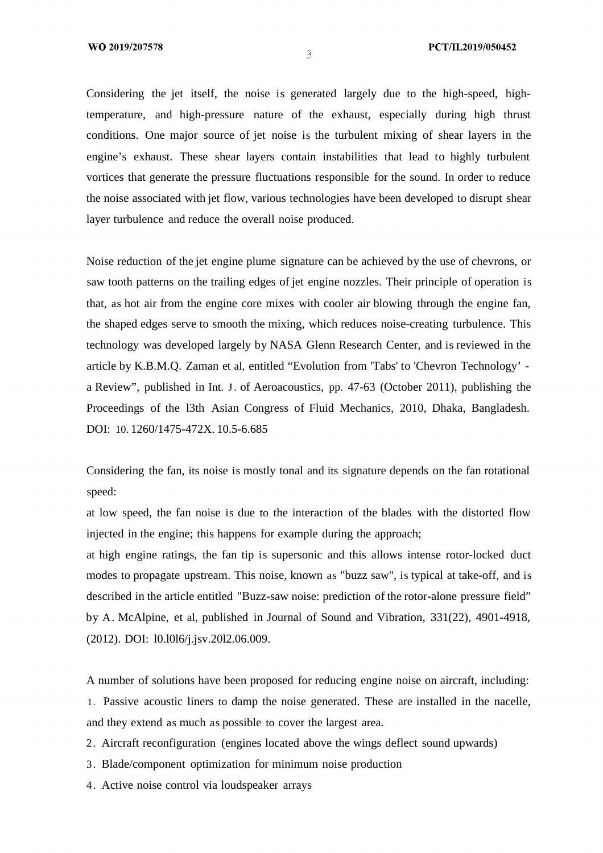Considering the jet itself, the noise is generated largely due to the high-speed, hightemperature, and high-pressure nature of the exhaust, especially during high thrust conditions. One major source of jet noise is the turbulent mixing of shear layers in the engine's exhaust. These shear layers contain instabilities that lead to highly turbulent vortices that generate the pressure fluctuations responsible for the sound. In order to reduce the noise associated with jet flow, various technologies have been developed to disrupt shear layer turbulence and reduce the overall noise produced.

Noise reduction of the jet engine plume signature can be achieved by the use of chevrons, or saw tooth patterns on the trailing edges of jet engine nozzles. Their principle of operation is that, as hot air from the engine core mixes with cooler air blowing through the engine fan, the shaped edges serve to smooth the mixing, which reduces noise-creating turbulence. This technology was developed largely by NASA Glenn Research Center, and is reviewed in the article by K.B.M.Q. Zaman et al, entitled "Evolution from 'Tabs' to 'Chevron Technology' a Review", published in Int. J. of Aeroacoustics, pp. 47-63 (October 2011), publishing the Proceedings of the l3th Asian Congress of Fluid Mechanics, 2010, Dhaka, Bangladesh. DOI: 10. 1260/1475-472X. 10.5-6.685

Considering the fan, its noise is mostly tonal and its signature depends on the fan rotational speed:

at low speed, the fan noise is due to the interaction of the blades with the distorted flow injected in the engine; this happens for example during the approach;

at high engine ratings, the fan tip is supersonic and this allows intense rotor-locked duct modes to propagate upstream. This noise, known as "buzz saw", is typical at take-off, and is described in the article entitled "Buzz-saw noise: prediction of the rotor-alone pressure field" by A. McAlpine, et al, published in Journal of Sound and Vibration, 331(22), 4901-4918, (2012). DOI: l0.l0l6/j.jsv.20l2.06.009.

A number of solutions have been proposed for reducing engine noise on aircraft, including: 1. Passive acoustic liners to damp the noise generated. These are installed in the nacelle, and they extend as much as possible to cover the largest area.

- 2. Aircraft reconfiguration (engines located above the wings deflect sound upwards)
- 3. Blade/component optimization for minimum noise production
- 4. Active noise control via loudspeaker arrays

 $\mathfrak{I}$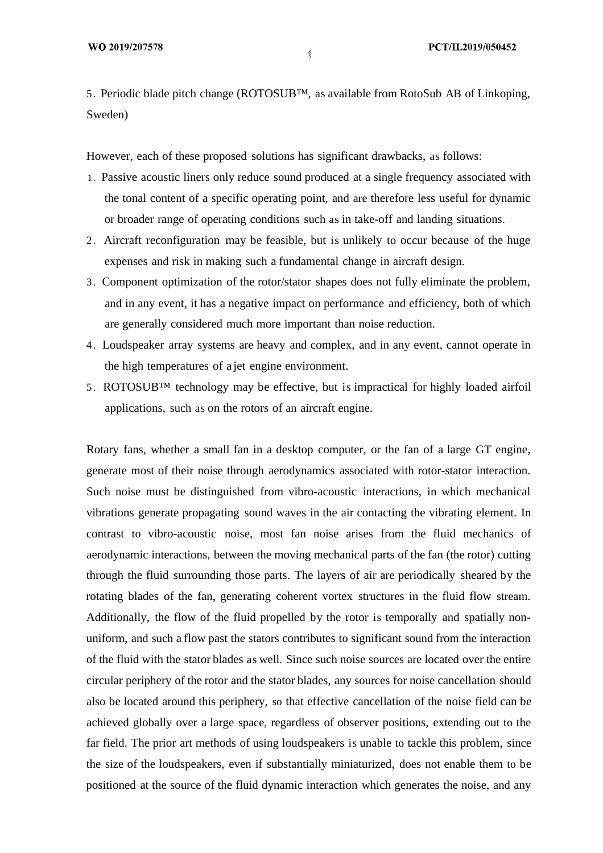5. Periodic blade pitch change (ROTOSUB™, as available from RotoSub AB of Linkoping, Sweden)

However, each of these proposed solutions has significant drawbacks, as follows:

- 1. Passive acoustic liners only reduce sound produced at a single frequency associated with the tonal content of a specific operating point, and are therefore less useful for dynamic or broader range of operating conditions such as in take-off and landing situations.
- 2. Aircraft reconfiguration may be feasible, but is unlikely to occur because of the huge expenses and risk in making such a fundamental change in aircraft design.
- 3. Component optimization of the rotor/stator shapes does not fully eliminate the problem, and in any event, it has a negative impact on performance and efficiency, both of which are generally considered much more important than noise reduction.
- 4. Loudspeaker array systems are heavy and complex, and in any event, cannot operate in the high temperatures of a jet engine environment.
- 5. ROTOSUB™ technology may be effective, but is impractical for highly loaded airfoil applications, such as on the rotors of an aircraft engine.

Rotary fans, whether a small fan in a desktop computer, or the fan of a large GT engine, generate most of their noise through aerodynamics associated with rotor-stator interaction. Such noise must be distinguished from vibro-acoustic interactions, in which mechanical vibrations generate propagating sound waves in the air contacting the vibrating element. In contrast to vibro-acoustic noise, most fan noise arises from the fluid mechanics of aerodynamic interactions, between the moving mechanical parts of the fan (the rotor) cutting through the fluid surrounding those parts. The layers of air are periodically sheared by the rotating blades of the fan, generating coherent vortex structures in the fluid flow stream. Additionally, the flow of the fluid propelled by the rotor is temporally and spatially nonuniform, and such a flow past the stators contributes to significant sound from the interaction of the fluid with the stator blades as well. Since such noise sources are located over the entire circular periphery of the rotor and the stator blades, any sources for noise cancellation should also be located around this periphery, so that effective cancellation of the noise field can be achieved globally over a large space, regardless of observer positions, extending out to the far field. The prior art methods of using loudspeakers is unable to tackle this problem, since the size of the loudspeakers, even if substantially miniaturized, does not enable them to be positioned at the source of the fluid dynamic interaction which generates the noise, and any

 $\Lambda$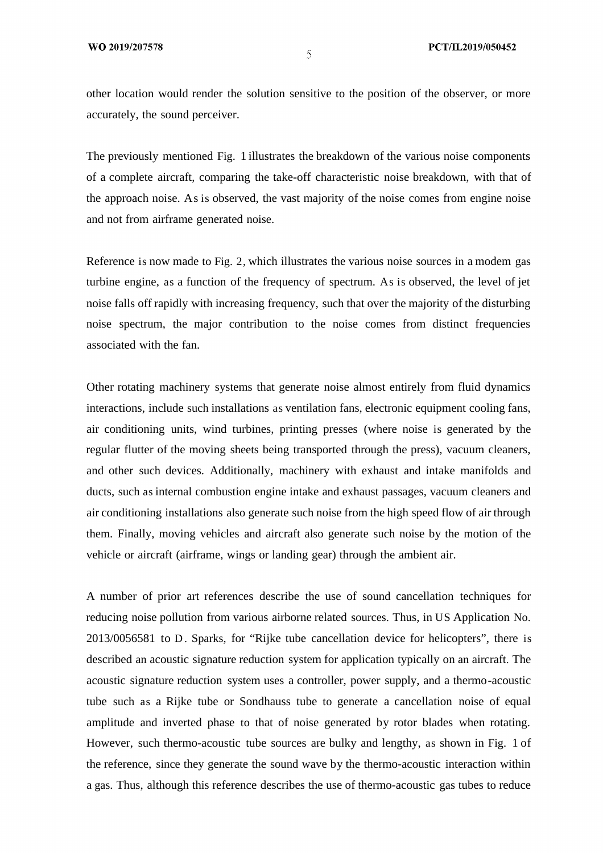other location would render the solution sensitive to the position of the observer, or more accurately, the sound perceiver.

The previously mentioned Fig. 1 illustrates the breakdown of the various noise components of a complete aircraft, comparing the take-off characteristic noise breakdown, with that of the approach noise. As is observed, the vast majority of the noise comes from engine noise and not from airframe generated noise.

Reference is now made to Fig. 2, which illustrates the various noise sources in a modem gas turbine engine, as a function of the frequency of spectrum. As is observed, the level of jet noise falls off rapidly with increasing frequency, such that over the majority of the disturbing noise spectrum, the major contribution to the noise comes from distinct frequencies associated with the fan.

Other rotating machinery systems that generate noise almost entirely from fluid dynamics interactions, include such installations as ventilation fans, electronic equipment cooling fans, air conditioning units, wind turbines, printing presses (where noise is generated by the regular flutter of the moving sheets being transported through the press), vacuum cleaners, and other such devices. Additionally, machinery with exhaust and intake manifolds and ducts, such as internal combustion engine intake and exhaust passages, vacuum cleaners and air conditioning installations also generate such noise from the high speed flow of air through them. Finally, moving vehicles and aircraft also generate such noise by the motion of the vehicle or aircraft (airframe, wings or landing gear) through the ambient air.

A number of prior art references describe the use of sound cancellation techniques for reducing noise pollution from various airborne related sources. Thus, in US Application No. 2013/0056581 to D. Sparks, for "Rijke tube cancellation device for helicopters", there is described an acoustic signature reduction system for application typically on an aircraft. The acoustic signature reduction system uses a controller, power supply, and a thermo-acoustic tube such as a Rijke tube or Sondhauss tube to generate a cancellation noise of equal amplitude and inverted phase to that of noise generated by rotor blades when rotating. However, such thermo-acoustic tube sources are bulky and lengthy, as shown in Fig. 1 of the reference, since they generate the sound wave by the thermo-acoustic interaction within a gas. Thus, although this reference describes the use of thermo-acoustic gas tubes to reduce

 $\mathcal{S}$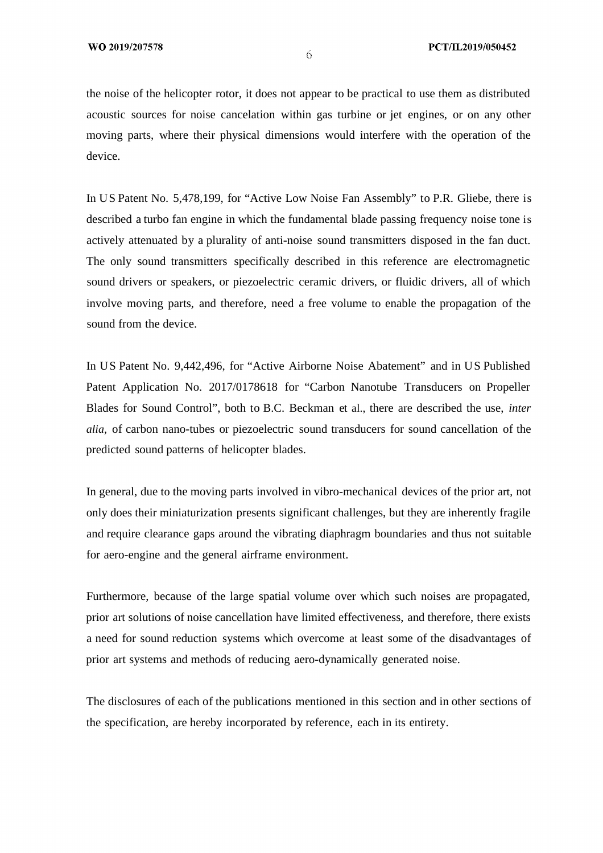the noise of the helicopter rotor, it does not appear to be practical to use them as distributed acoustic sources for noise cancelation within gas turbine or jet engines, or on any other moving parts, where their physical dimensions would interfere with the operation of the device.

In US Patent No. 5,478,199, for "Active Low Noise Fan Assembly" to P.R. Gliebe, there is described a turbo fan engine in which the fundamental blade passing frequency noise tone is actively attenuated by a plurality of anti-noise sound transmitters disposed in the fan duct. The only sound transmitters specifically described in this reference are electromagnetic sound drivers or speakers, or piezoelectric ceramic drivers, or fluidic drivers, all of which involve moving parts, and therefore, need a free volume to enable the propagation of the sound from the device.

In US Patent No. 9,442,496, for "Active Airborne Noise Abatement" and in US Published Patent Application No. 2017/0178618 for "Carbon Nanotube Transducers on Propeller Blades for Sound Control", both to B.C. Beckman et al., there are described the use, *inter alia,* of carbon nano-tubes or piezoelectric sound transducers for sound cancellation of the predicted sound patterns of helicopter blades.

In general, due to the moving parts involved in vibro-mechanical devices of the prior art, not only does their miniaturization presents significant challenges, but they are inherently fragile and require clearance gaps around the vibrating diaphragm boundaries and thus not suitable for aero-engine and the general airframe environment.

Furthermore, because of the large spatial volume over which such noises are propagated, prior art solutions of noise cancellation have limited effectiveness, and therefore, there exists a need for sound reduction systems which overcome at least some of the disadvantages of prior art systems and methods of reducing aero-dynamically generated noise.

The disclosures of each of the publications mentioned in this section and in other sections of the specification, are hereby incorporated by reference, each in its entirety.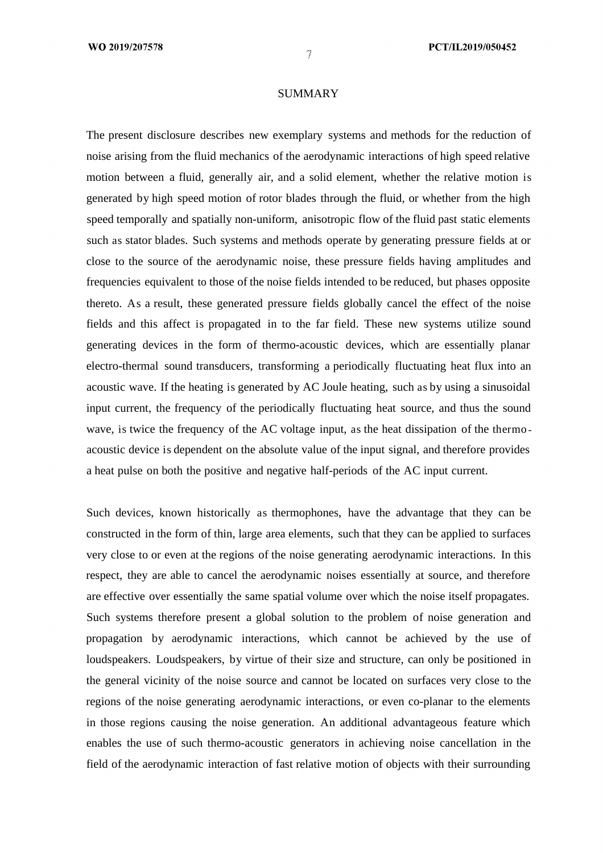### SUMMARY

The present disclosure describes new exemplary systems and methods for the reduction of noise arising from the fluid mechanics of the aerodynamic interactions of high speed relative motion between a fluid, generally air, and a solid element, whether the relative motion is generated by high speed motion of rotor blades through the fluid, or whether from the high speed temporally and spatially non-uniform, anisotropic flow of the fluid past static elements such as stator blades. Such systems and methods operate by generating pressure fields at or close to the source of the aerodynamic noise, these pressure fields having amplitudes and frequencies equivalent to those of the noise fields intended to be reduced, but phases opposite thereto. As a result, these generated pressure fields globally cancel the effect of the noise fields and this affect is propagated in to the far field. These new systems utilize sound generating devices in the form of thermo-acoustic devices, which are essentially planar electro-thermal sound transducers, transforming a periodically fluctuating heat flux into an acoustic wave. If the heating is generated by AC Joule heating, such as by using a sinusoidal input current, the frequency of the periodically fluctuating heat source, and thus the sound wave, is twice the frequency of the AC voltage input, as the heat dissipation of the thermo acoustic device is dependent on the absolute value of the input signal, and therefore provides a heat pulse on both the positive and negative half-periods of the AC input current.

Such devices, known historically as thermophones, have the advantage that they can be constructed in the form of thin, large area elements, such that they can be applied to surfaces very close to or even at the regions of the noise generating aerodynamic interactions. In this respect, they are able to cancel the aerodynamic noises essentially at source, and therefore are effective over essentially the same spatial volume over which the noise itself propagates. Such systems therefore present a global solution to the problem of noise generation and propagation by aerodynamic interactions, which cannot be achieved by the use of loudspeakers. Loudspeakers, by virtue of their size and structure, can only be positioned in the general vicinity of the noise source and cannot be located on surfaces very close to the regions of the noise generating aerodynamic interactions, or even co-planar to the elements in those regions causing the noise generation. An additional advantageous feature which enables the use of such thermo-acoustic generators in achieving noise cancellation in the field of the aerodynamic interaction of fast relative motion of objects with their surrounding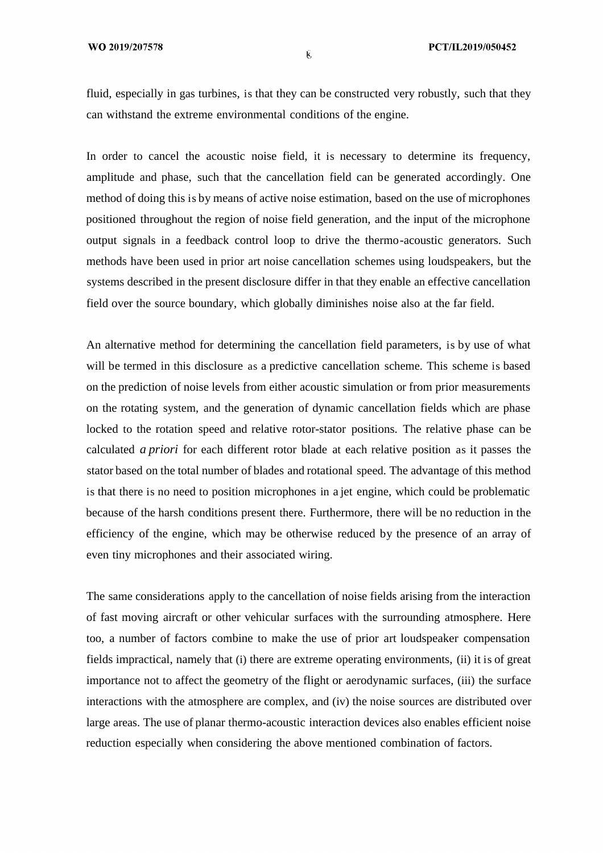fluid, especially in gas turbines, is that they can be constructed very robustly, such that they can withstand the extreme environmental conditions of the engine.

In order to cancel the acoustic noise field, it is necessary to determine its frequency, amplitude and phase, such that the cancellation field can be generated accordingly. One method of doing this is by means of active noise estimation, based on the use of microphones positioned throughout the region of noise field generation, and the input of the microphone output signals in a feedback control loop to drive the thermo-acoustic generators. Such methods have been used in prior art noise cancellation schemes using loudspeakers, but the systems described in the present disclosure differ in that they enable an effective cancellation field over the source boundary, which globally diminishes noise also at the far field.

An alternative method for determining the cancellation field parameters, is by use of what will be termed in this disclosure as a predictive cancellation scheme. This scheme is based on the prediction of noise levels from either acoustic simulation or from prior measurements on the rotating system, and the generation of dynamic cancellation fields which are phase locked to the rotation speed and relative rotor-stator positions. The relative phase can be calculated *a priori* for each different rotor blade at each relative position as it passes the stator based on the total number of blades and rotational speed. The advantage of this method is that there is no need to position microphones in a jet engine, which could be problematic because of the harsh conditions present there. Furthermore, there will be no reduction in the efficiency of the engine, which may be otherwise reduced by the presence of an array of even tiny microphones and their associated wiring.

The same considerations apply to the cancellation of noise fields arising from the interaction of fast moving aircraft or other vehicular surfaces with the surrounding atmosphere. Here too, a number of factors combine to make the use of prior art loudspeaker compensation fields impractical, namely that (i) there are extreme operating environments, (ii) it is of great importance not to affect the geometry of the flight or aerodynamic surfaces, (iii) the surface interactions with the atmosphere are complex, and (iv) the noise sources are distributed over large areas. The use of planar thermo-acoustic interaction devices also enables efficient noise reduction especially when considering the above mentioned combination of factors.

**k**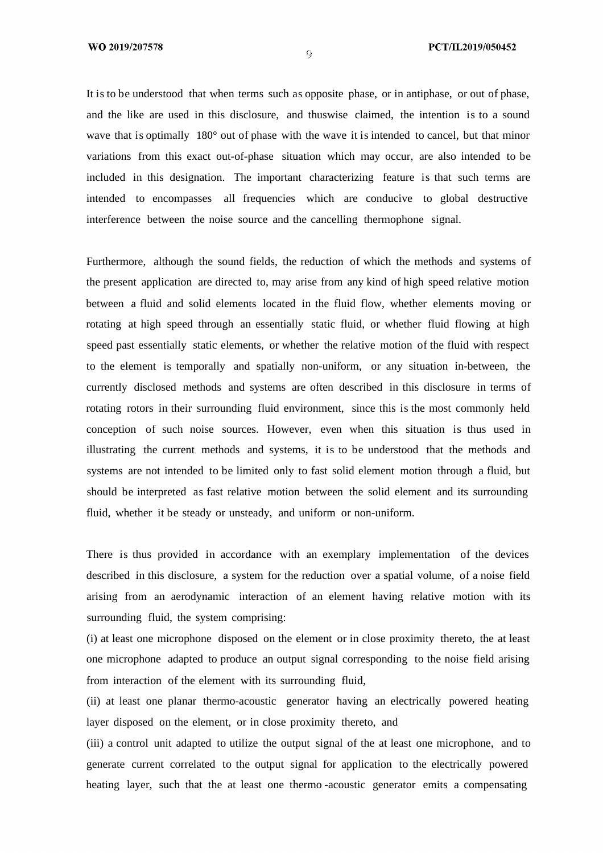It is to be understood that when terms such as opposite phase, or in antiphase, or out of phase, and the like are used in this disclosure, and thuswise claimed, the intention is to a sound wave that is optimally 180° out of phase with the wave it is intended to cancel, but that minor variations from this exact out-of-phase situation which may occur, are also intended to be included in this designation. The important characterizing feature is that such terms are intended to encompasses all frequencies which are conducive to global destructive interference between the noise source and the cancelling thermophone signal.

Furthermore, although the sound fields, the reduction of which the methods and systems of the present application are directed to, may arise from any kind of high speed relative motion between a fluid and solid elements located in the fluid flow, whether elements moving or rotating at high speed through an essentially static fluid, or whether fluid flowing at high speed past essentially static elements, or whether the relative motion of the fluid with respect to the element is temporally and spatially non-uniform, or any situation in-between, the currently disclosed methods and systems are often described in this disclosure in terms of rotating rotors in their surrounding fluid environment, since this is the most commonly held conception of such noise sources. However, even when this situation is thus used in illustrating the current methods and systems, it is to be understood that the methods and systems are not intended to be limited only to fast solid element motion through a fluid, but should be interpreted as fast relative motion between the solid element and its surrounding fluid, whether it be steady or unsteady, and uniform or non-uniform.

There is thus provided in accordance with an exemplary implementation of the devices described in this disclosure, a system for the reduction over a spatial volume, of a noise field arising from an aerodynamic interaction of an element having relative motion with its surrounding fluid, the system comprising:

(i) at least one microphone disposed on the element or in close proximity thereto, the at least one microphone adapted to produce an output signal corresponding to the noise field arising from interaction of the element with its surrounding fluid,

(ii) at least one planar thermo-acoustic generator having an electrically powered heating layer disposed on the element, or in close proximity thereto, and

(iii) a control unit adapted to utilize the output signal of the at least one microphone, and to generate current correlated to the output signal for application to the electrically powered heating layer, such that the at least one thermo -acoustic generator emits a compensating

 $\overline{\rm Q}$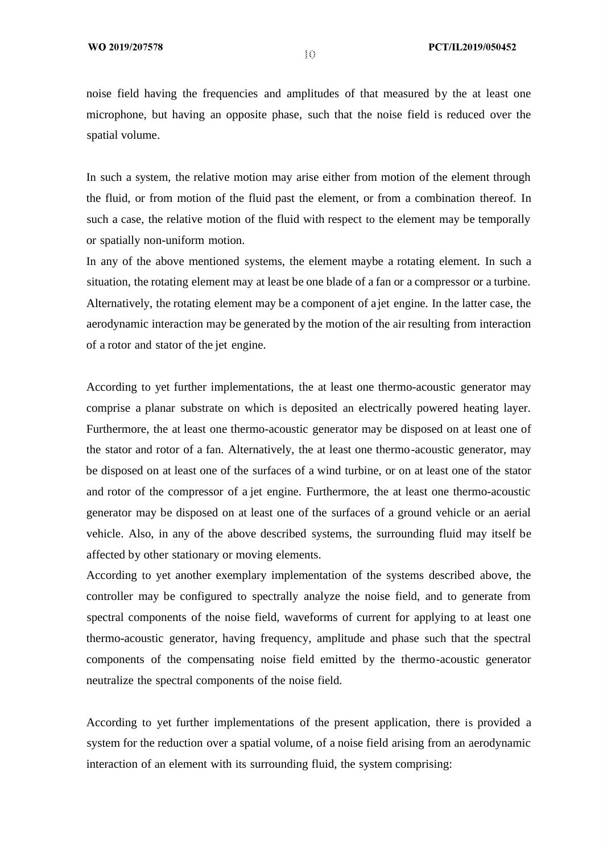noise field having the frequencies and amplitudes of that measured by the at least one microphone, but having an opposite phase, such that the noise field is reduced over the spatial volume.

In such a system, the relative motion may arise either from motion of the element through the fluid, or from motion of the fluid past the element, or from a combination thereof. In such a case, the relative motion of the fluid with respect to the element may be temporally or spatially non-uniform motion.

In any of the above mentioned systems, the element maybe a rotating element. In such a situation, the rotating element may at least be one blade of a fan or a compressor or a turbine. Alternatively, the rotating element may be a component of a jet engine. In the latter case, the aerodynamic interaction may be generated by the motion of the air resulting from interaction of a rotor and stator of the jet engine.

According to yet further implementations, the at least one thermo-acoustic generator may comprise a planar substrate on which is deposited an electrically powered heating layer. Furthermore, the at least one thermo-acoustic generator may be disposed on at least one of the stator and rotor of a fan. Alternatively, the at least one thermo-acoustic generator, may be disposed on at least one of the surfaces of a wind turbine, or on at least one of the stator and rotor of the compressor of a jet engine. Furthermore, the at least one thermo-acoustic generator may be disposed on at least one of the surfaces of a ground vehicle or an aerial vehicle. Also, in any of the above described systems, the surrounding fluid may itself be affected by other stationary or moving elements.

According to yet another exemplary implementation of the systems described above, the controller may be configured to spectrally analyze the noise field, and to generate from spectral components of the noise field, waveforms of current for applying to at least one thermo-acoustic generator, having frequency, amplitude and phase such that the spectral components of the compensating noise field emitted by the thermo-acoustic generator neutralize the spectral components of the noise field.

According to yet further implementations of the present application, there is provided a system for the reduction over a spatial volume, of a noise field arising from an aerodynamic interaction of an element with its surrounding fluid, the system comprising:

 $10<sup>1</sup>$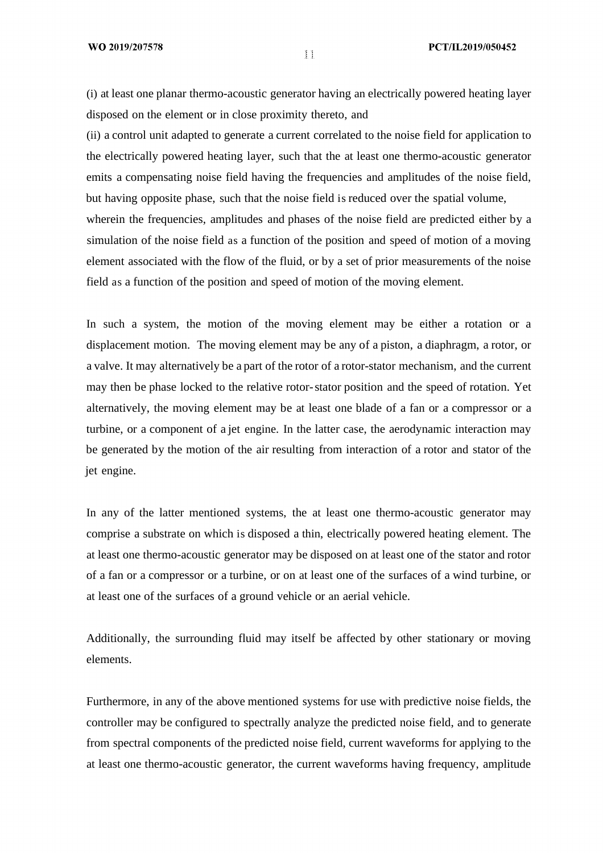(i) at least one planar thermo-acoustic generator having an electrically powered heating layer disposed on the element or in close proximity thereto, and

(ii) a control unit adapted to generate a current correlated to the noise field for application to the electrically powered heating layer, such that the at least one thermo-acoustic generator emits a compensating noise field having the frequencies and amplitudes of the noise field, but having opposite phase, such that the noise field is reduced over the spatial volume, wherein the frequencies, amplitudes and phases of the noise field are predicted either by a simulation of the noise field as a function of the position and speed of motion of a moving element associated with the flow of the fluid, or by a set of prior measurements of the noise field as a function of the position and speed of motion of the moving element.

In such a system, the motion of the moving element may be either a rotation or a displacement motion. The moving element may be any of a piston, a diaphragm, a rotor, or a valve. It may alternatively be a part of the rotor of a rotor-stator mechanism, and the current may then be phase locked to the relative rotor-stator position and the speed of rotation. Yet alternatively, the moving element may be at least one blade of a fan or a compressor or a turbine, or a component of a jet engine. In the latter case, the aerodynamic interaction may be generated by the motion of the air resulting from interaction of a rotor and stator of the jet engine.

In any of the latter mentioned systems, the at least one thermo-acoustic generator may comprise a substrate on which is disposed a thin, electrically powered heating element. The at least one thermo-acoustic generator may be disposed on at least one of the stator and rotor of a fan or a compressor or a turbine, or on at least one of the surfaces of a wind turbine, or at least one of the surfaces of a ground vehicle or an aerial vehicle.

Additionally, the surrounding fluid may itself be affected by other stationary or moving elements.

Furthermore, in any of the above mentioned systems for use with predictive noise fields, the controller may be configured to spectrally analyze the predicted noise field, and to generate from spectral components of the predicted noise field, current waveforms for applying to the at least one thermo-acoustic generator, the current waveforms having frequency, amplitude

 $\mathcal{L}$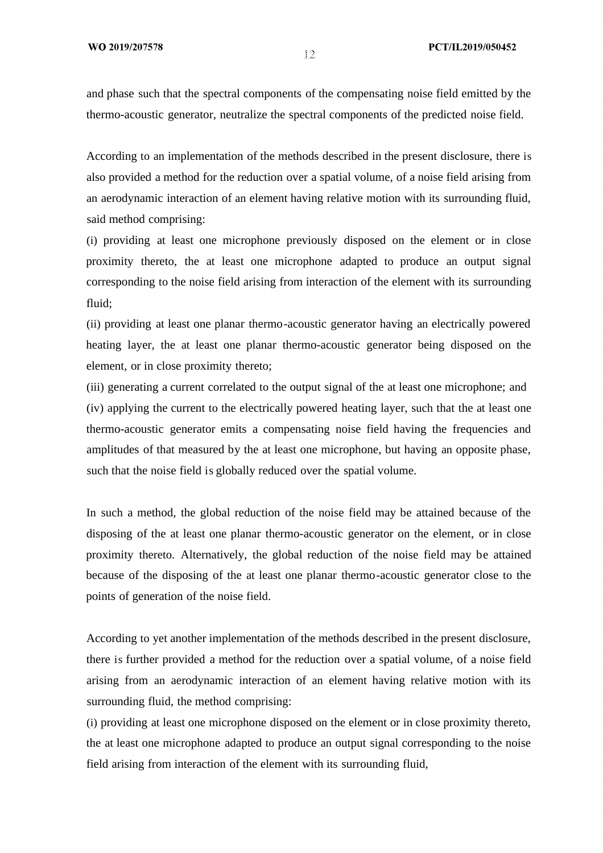and phase such that the spectral components of the compensating noise field emitted by the thermo-acoustic generator, neutralize the spectral components of the predicted noise field.

According to an implementation of the methods described in the present disclosure, there is also provided a method for the reduction over a spatial volume, of a noise field arising from an aerodynamic interaction of an element having relative motion with its surrounding fluid, said method comprising:

(i) providing at least one microphone previously disposed on the element or in close proximity thereto, the at least one microphone adapted to produce an output signal corresponding to the noise field arising from interaction of the element with its surrounding fluid;

(ii) providing at least one planar thermo-acoustic generator having an electrically powered heating layer, the at least one planar thermo-acoustic generator being disposed on the element, or in close proximity thereto;

(iii) generating a current correlated to the output signal of the at least one microphone; and (iv) applying the current to the electrically powered heating layer, such that the at least one thermo-acoustic generator emits a compensating noise field having the frequencies and amplitudes of that measured by the at least one microphone, but having an opposite phase, such that the noise field is globally reduced over the spatial volume.

In such a method, the global reduction of the noise field may be attained because of the disposing of the at least one planar thermo-acoustic generator on the element, or in close proximity thereto. Alternatively, the global reduction of the noise field may be attained because of the disposing of the at least one planar thermo-acoustic generator close to the points of generation of the noise field.

According to yet another implementation of the methods described in the present disclosure, there is further provided a method for the reduction over a spatial volume, of a noise field arising from an aerodynamic interaction of an element having relative motion with its surrounding fluid, the method comprising:

(i) providing at least one microphone disposed on the element or in close proximity thereto, the at least one microphone adapted to produce an output signal corresponding to the noise field arising from interaction of the element with its surrounding fluid,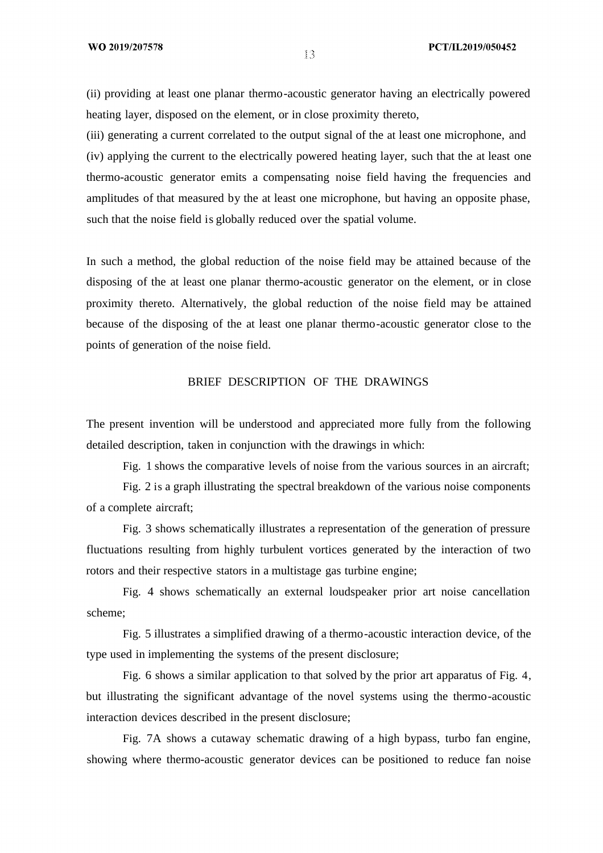(ii) providing at least one planar thermo-acoustic generator having an electrically powered heating layer, disposed on the element, or in close proximity thereto,

(iii) generating a current correlated to the output signal of the at least one microphone, and (iv) applying the current to the electrically powered heating layer, such that the at least one thermo-acoustic generator emits a compensating noise field having the frequencies and amplitudes of that measured by the at least one microphone, but having an opposite phase, such that the noise field is globally reduced over the spatial volume.

In such a method, the global reduction of the noise field may be attained because of the disposing of the at least one planar thermo-acoustic generator on the element, or in close proximity thereto. Alternatively, the global reduction of the noise field may be attained because of the disposing of the at least one planar thermo-acoustic generator close to the points of generation of the noise field.

# BRIEF DESCRIPTION OF THE DRAWINGS

The present invention will be understood and appreciated more fully from the following detailed description, taken in conjunction with the drawings in which:

Fig. 1 shows the comparative levels of noise from the various sources in an aircraft;

Fig. 2 is a graph illustrating the spectral breakdown of the various noise components of a complete aircraft;

Fig. 3 shows schematically illustrates a representation of the generation of pressure fluctuations resulting from highly turbulent vortices generated by the interaction of two rotors and their respective stators in a multistage gas turbine engine;

Fig. 4 shows schematically an external loudspeaker prior art noise cancellation scheme;

Fig. 5 illustrates a simplified drawing of a thermo-acoustic interaction device, of the type used in implementing the systems of the present disclosure;

Fig. 6 shows a similar application to that solved by the prior art apparatus of Fig. 4, but illustrating the significant advantage of the novel systems using the thermo-acoustic interaction devices described in the present disclosure;

Fig. 7A shows a cutaway schematic drawing of a high bypass, turbo fan engine, showing where thermo-acoustic generator devices can be positioned to reduce fan noise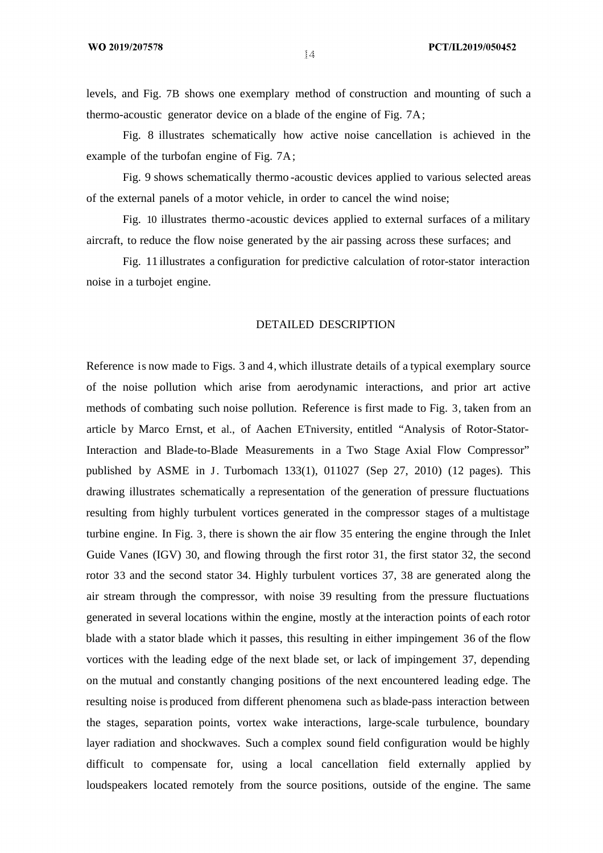levels, and Fig. 7B shows one exemplary method of construction and mounting of such a thermo-acoustic generator device on a blade of the engine of Fig. 7A;

Fig. 8 illustrates schematically how active noise cancellation is achieved in the example of the turbofan engine of Fig. 7A;

Fig. 9 shows schematically thermo -acoustic devices applied to various selected areas of the external panels of a motor vehicle, in order to cancel the wind noise;

Fig. 10 illustrates thermo -acoustic devices applied to external surfaces of a military aircraft, to reduce the flow noise generated by the air passing across these surfaces; and

Fig. 11 illustrates a configuration for predictive calculation of rotor-stator interaction noise in a turbojet engine.

### DETAILED DESCRIPTION

Reference is now made to Figs. 3 and 4, which illustrate details of a typical exemplary source of the noise pollution which arise from aerodynamic interactions, and prior art active methods of combating such noise pollution. Reference is first made to Fig. 3, taken from an article by Marco Ernst, et al., of Aachen ETniversity, entitled "Analysis of Rotor-Stator-Interaction and Blade-to-Blade Measurements in a Two Stage Axial Flow Compressor" published by ASME in J. Turbomach 133(1), 011027 (Sep 27, 2010) (12 pages). This drawing illustrates schematically a representation of the generation of pressure fluctuations resulting from highly turbulent vortices generated in the compressor stages of a multistage turbine engine. In Fig. 3, there is shown the air flow 35 entering the engine through the Inlet Guide Vanes (IGV) 30, and flowing through the first rotor 31, the first stator 32, the second rotor 33 and the second stator 34. Highly turbulent vortices 37, 38 are generated along the air stream through the compressor, with noise 39 resulting from the pressure fluctuations generated in several locations within the engine, mostly at the interaction points of each rotor blade with a stator blade which it passes, this resulting in either impingement 36 of the flow vortices with the leading edge of the next blade set, or lack of impingement 37, depending on the mutual and constantly changing positions of the next encountered leading edge. The resulting noise is produced from different phenomena such as blade-pass interaction between the stages, separation points, vortex wake interactions, large-scale turbulence, boundary layer radiation and shockwaves. Such a complex sound field configuration would be highly difficult to compensate for, using a local cancellation field externally applied by loudspeakers located remotely from the source positions, outside of the engine. The same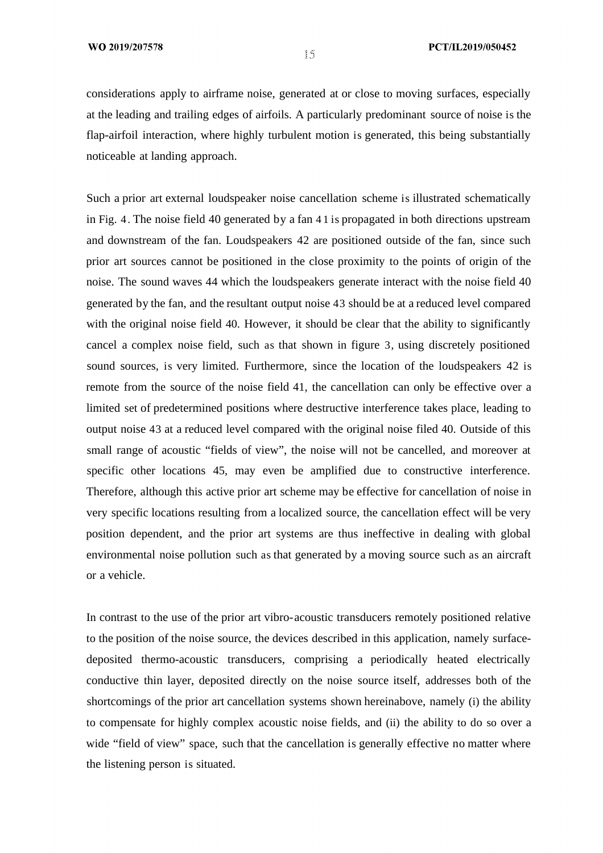considerations apply to airframe noise, generated at or close to moving surfaces, especially at the leading and trailing edges of airfoils. A particularly predominant source of noise is the flap-airfoil interaction, where highly turbulent motion is generated, this being substantially noticeable at landing approach.

Such a prior art external loudspeaker noise cancellation scheme is illustrated schematically in Fig. 4. The noise field 40 generated by a fan 4 1 is propagated in both directions upstream and downstream of the fan. Loudspeakers 42 are positioned outside of the fan, since such prior art sources cannot be positioned in the close proximity to the points of origin of the noise. The sound waves 44 which the loudspeakers generate interact with the noise field 40 generated by the fan, and the resultant output noise 43 should be at a reduced level compared with the original noise field 40. However, it should be clear that the ability to significantly cancel a complex noise field, such as that shown in figure 3, using discretely positioned sound sources, is very limited. Furthermore, since the location of the loudspeakers 42 is remote from the source of the noise field 41, the cancellation can only be effective over a limited set of predetermined positions where destructive interference takes place, leading to output noise 43 at a reduced level compared with the original noise filed 40. Outside of this small range of acoustic "fields of view", the noise will not be cancelled, and moreover at specific other locations 45, may even be amplified due to constructive interference. Therefore, although this active prior art scheme may be effective for cancellation of noise in very specific locations resulting from a localized source, the cancellation effect will be very position dependent, and the prior art systems are thus ineffective in dealing with global environmental noise pollution such as that generated by a moving source such as an aircraft or a vehicle.

In contrast to the use of the prior art vibro-acoustic transducers remotely positioned relative to the position of the noise source, the devices described in this application, namely surfacedeposited thermo-acoustic transducers, comprising a periodically heated electrically conductive thin layer, deposited directly on the noise source itself, addresses both of the shortcomings of the prior art cancellation systems shown hereinabove, namely (i) the ability to compensate for highly complex acoustic noise fields, and (ii) the ability to do so over a wide "field of view" space, such that the cancellation is generally effective no matter where the listening person is situated.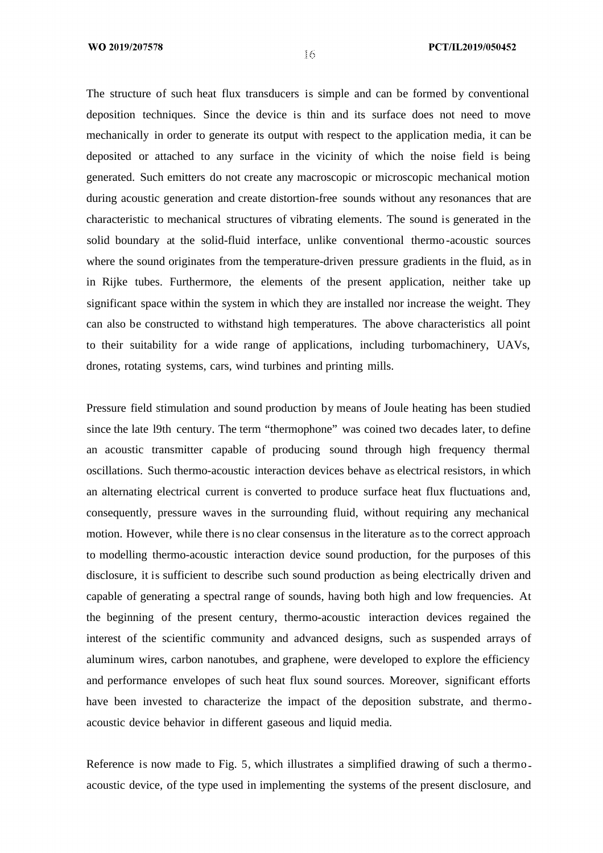#### PCT/IL2019/050452

The structure of such heat flux transducers is simple and can be formed by conventional deposition techniques. Since the device is thin and its surface does not need to move mechanically in order to generate its output with respect to the application media, it can be deposited or attached to any surface in the vicinity of which the noise field is being generated. Such emitters do not create any macroscopic or microscopic mechanical motion during acoustic generation and create distortion-free sounds without any resonances that are characteristic to mechanical structures of vibrating elements. The sound is generated in the solid boundary at the solid-fluid interface, unlike conventional thermo-acoustic sources where the sound originates from the temperature-driven pressure gradients in the fluid, as in in Rijke tubes. Furthermore, the elements of the present application, neither take up significant space within the system in which they are installed nor increase the weight. They can also be constructed to withstand high temperatures. The above characteristics all point to their suitability for a wide range of applications, including turbomachinery, UAVs, drones, rotating systems, cars, wind turbines and printing mills.

Pressure field stimulation and sound production by means of Joule heating has been studied since the late l9th century. The term "thermophone" was coined two decades later, to define an acoustic transmitter capable of producing sound through high frequency thermal oscillations. Such thermo-acoustic interaction devices behave as electrical resistors, in which an alternating electrical current is converted to produce surface heat flux fluctuations and, consequently, pressure waves in the surrounding fluid, without requiring any mechanical motion. However, while there is no clear consensus in the literature as to the correct approach to modelling thermo-acoustic interaction device sound production, for the purposes of this disclosure, it is sufficient to describe such sound production as being electrically driven and capable of generating a spectral range of sounds, having both high and low frequencies. At the beginning of the present century, thermo-acoustic interaction devices regained the interest of the scientific community and advanced designs, such as suspended arrays of aluminum wires, carbon nanotubes, and graphene, were developed to explore the efficiency and performance envelopes of such heat flux sound sources. Moreover, significant efforts have been invested to characterize the impact of the deposition substrate, and thermo acoustic device behavior in different gaseous and liquid media.

Reference is now made to Fig. 5, which illustrates a simplified drawing of such a thermo acoustic device, of the type used in implementing the systems of the present disclosure, and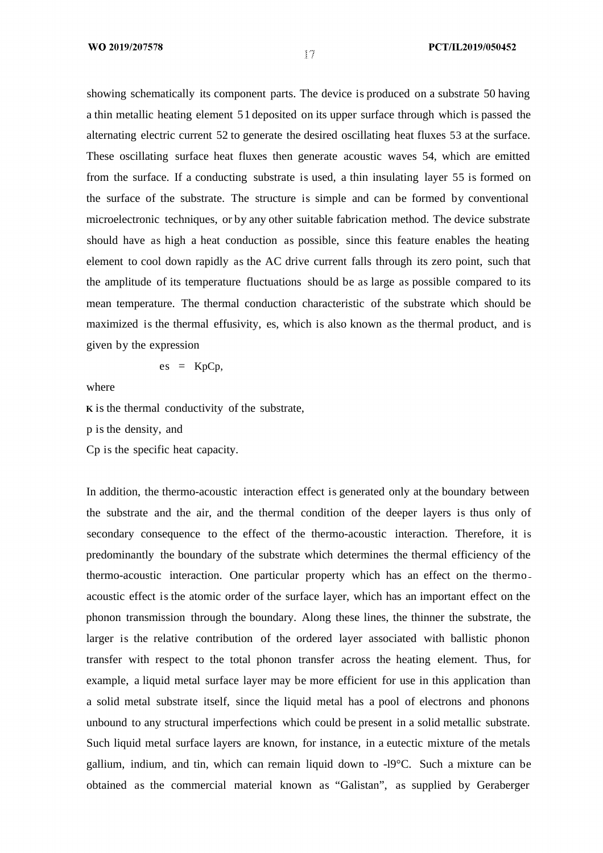showing schematically its component parts. The device is produced on a substrate 50 having a thin metallic heating element 51 deposited on its upper surface through which is passed the alternating electric current 52 to generate the desired oscillating heat fluxes 53 at the surface. These oscillating surface heat fluxes then generate acoustic waves 54, which are emitted from the surface. If a conducting substrate is used, a thin insulating layer 55 is formed on the surface of the substrate. The structure is simple and can be formed by conventional microelectronic techniques, or by any other suitable fabrication method. The device substrate should have as high a heat conduction as possible, since this feature enables the heating element to cool down rapidly as the AC drive current falls through its zero point, such that the amplitude of its temperature fluctuations should be as large as possible compared to its mean temperature. The thermal conduction characteristic of the substrate which should be maximized is the thermal effusivity, es, which is also known as the thermal product, and is given by the expression

$$
es = KpCp,
$$

where

**K** is the thermal conductivity of the substrate,

p is the density, and

Cp is the specific heat capacity.

In addition, the thermo-acoustic interaction effect is generated only at the boundary between the substrate and the air, and the thermal condition of the deeper layers is thus only of secondary consequence to the effect of the thermo-acoustic interaction. Therefore, it is predominantly the boundary of the substrate which determines the thermal efficiency of the thermo-acoustic interaction. One particular property which has an effect on the thermo acoustic effect is the atomic order of the surface layer, which has an important effect on the phonon transmission through the boundary. Along these lines, the thinner the substrate, the larger is the relative contribution of the ordered layer associated with ballistic phonon transfer with respect to the total phonon transfer across the heating element. Thus, for example, a liquid metal surface layer may be more efficient for use in this application than a solid metal substrate itself, since the liquid metal has a pool of electrons and phonons unbound to any structural imperfections which could be present in a solid metallic substrate. Such liquid metal surface layers are known, for instance, in a eutectic mixture of the metals gallium, indium, and tin, which can remain liquid down to -l9°C. Such a mixture can be obtained as the commercial material known as "Galistan", as supplied by Geraberger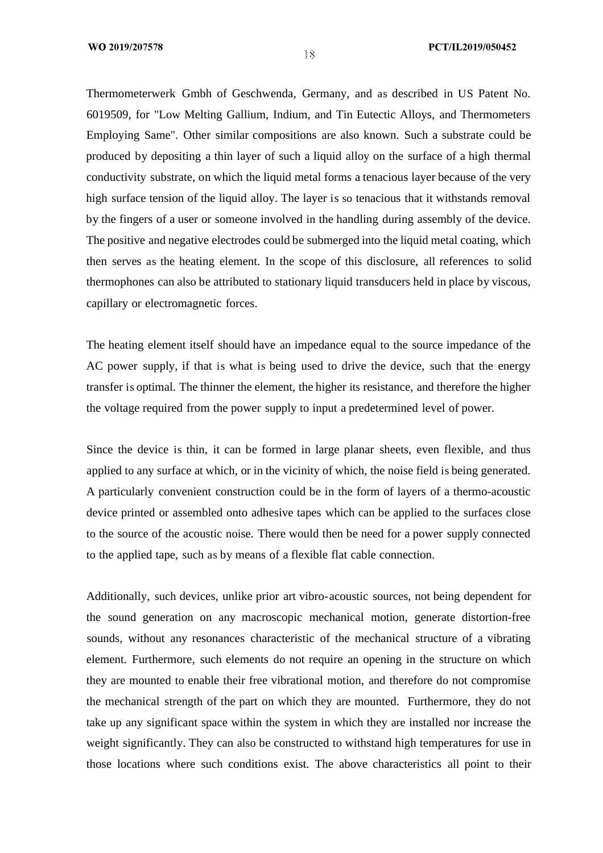Thermometerwerk Gmbh of Geschwenda, Germany, and as described in US Patent No. 6019509, for "Low Melting Gallium, Indium, and Tin Eutectic Alloys, and Thermometers Employing Same". Other similar compositions are also known. Such a substrate could be produced by depositing a thin layer of such a liquid alloy on the surface of a high thermal conductivity substrate, on which the liquid metal forms a tenacious layer because of the very high surface tension of the liquid alloy. The layer is so tenacious that it withstands removal by the fingers of a user or someone involved in the handling during assembly of the device. The positive and negative electrodes could be submerged into the liquid metal coating, which then serves as the heating element. In the scope of this disclosure, all references to solid thermophones can also be attributed to stationary liquid transducers held in place by viscous, capillary or electromagnetic forces.

The heating element itself should have an impedance equal to the source impedance of the AC power supply, if that is what is being used to drive the device, such that the energy transfer is optimal. The thinner the element, the higher its resistance, and therefore the higher the voltage required from the power supply to input a predetermined level of power.

Since the device is thin, it can be formed in large planar sheets, even flexible, and thus applied to any surface at which, or in the vicinity of which, the noise field is being generated. A particularly convenient construction could be in the form of layers of a thermo-acoustic device printed or assembled onto adhesive tapes which can be applied to the surfaces close to the source of the acoustic noise. There would then be need for a power supply connected to the applied tape, such as by means of a flexible flat cable connection.

Additionally, such devices, unlike prior art vibro-acoustic sources, not being dependent for the sound generation on any macroscopic mechanical motion, generate distortion-free sounds, without any resonances characteristic of the mechanical structure of a vibrating element. Furthermore, such elements do not require an opening in the structure on which they are mounted to enable their free vibrational motion, and therefore do not compromise the mechanical strength of the part on which they are mounted. Furthermore, they do not take up any significant space within the system in which they are installed nor increase the weight significantly. They can also be constructed to withstand high temperatures for use in those locations where such conditions exist. The above characteristics all point to their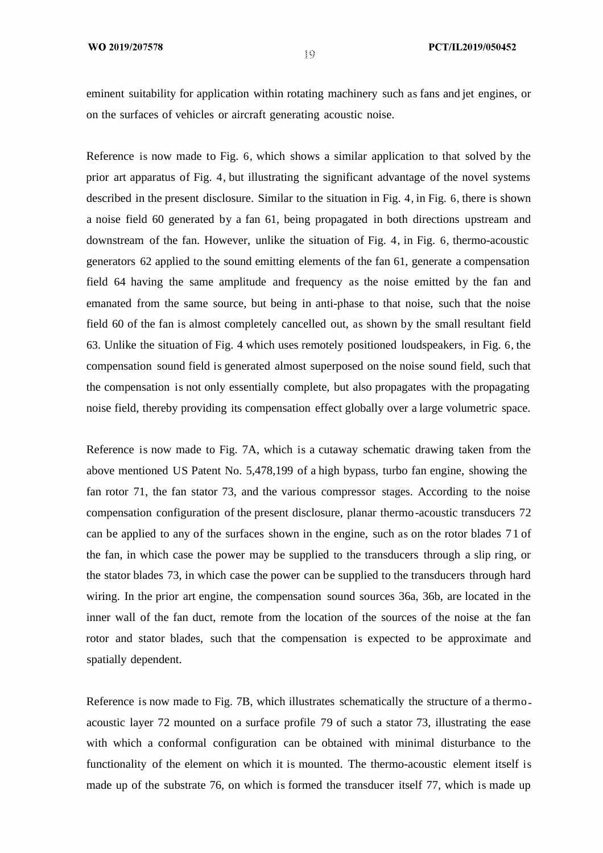eminent suitability for application within rotating machinery such as fans and jet engines, or on the surfaces of vehicles or aircraft generating acoustic noise.

Reference is now made to Fig. 6, which shows a similar application to that solved by the prior art apparatus of Fig. 4, but illustrating the significant advantage of the novel systems described in the present disclosure. Similar to the situation in Fig. 4, in Fig. 6, there is shown a noise field 60 generated by a fan 61, being propagated in both directions upstream and downstream of the fan. However, unlike the situation of Fig. 4, in Fig. 6, thermo-acoustic generators 62 applied to the sound emitting elements of the fan 61, generate a compensation field 64 having the same amplitude and frequency as the noise emitted by the fan and emanated from the same source, but being in anti-phase to that noise, such that the noise field 60 of the fan is almost completely cancelled out, as shown by the small resultant field 63. Unlike the situation of Fig. 4 which uses remotely positioned loudspeakers, in Fig. 6, the compensation sound field is generated almost superposed on the noise sound field, such that the compensation is not only essentially complete, but also propagates with the propagating noise field, thereby providing its compensation effect globally over a large volumetric space.

Reference is now made to Fig. 7A, which is a cutaway schematic drawing taken from the above mentioned US Patent No. 5,478,199 of a high bypass, turbo fan engine, showing the fan rotor 71, the fan stator 73, and the various compressor stages. According to the noise compensation configuration of the present disclosure, planar thermo-acoustic transducers 72 can be applied to any of the surfaces shown in the engine, such as on the rotor blades 71 of the fan, in which case the power may be supplied to the transducers through a slip ring, or the stator blades 73, in which case the power can be supplied to the transducers through hard wiring. In the prior art engine, the compensation sound sources 36a, 36b, are located in the inner wall of the fan duct, remote from the location of the sources of the noise at the fan rotor and stator blades, such that the compensation is expected to be approximate and spatially dependent.

Reference is now made to Fig. 7B, which illustrates schematically the structure of a thermo acoustic layer 72 mounted on a surface profile 79 of such a stator 73, illustrating the ease with which a conformal configuration can be obtained with minimal disturbance to the functionality of the element on which it is mounted. The thermo-acoustic element itself is made up of the substrate 76, on which is formed the transducer itself 77, which is made up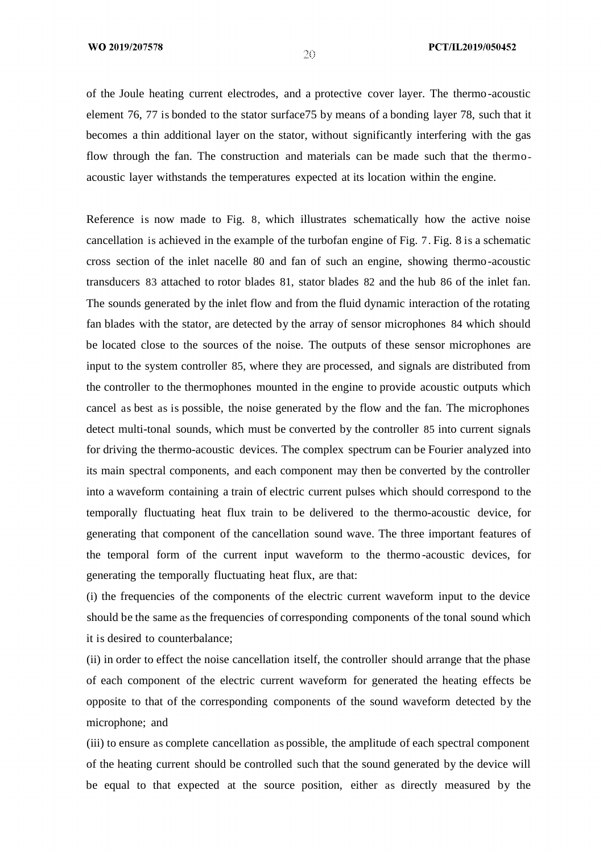of the Joule heating current electrodes, and a protective cover layer. The thermo-acoustic element 76, 77 is bonded to the stator surface75 by means of a bonding layer 78, such that it becomes a thin additional layer on the stator, without significantly interfering with the gas flow through the fan. The construction and materials can be made such that the thermo acoustic layer withstands the temperatures expected at its location within the engine.

Reference is now made to Fig. 8, which illustrates schematically how the active noise cancellation is achieved in the example of the turbofan engine of Fig. 7. Fig. 8 is a schematic cross section of the inlet nacelle 80 and fan of such an engine, showing thermo-acoustic transducers 83 attached to rotor blades 81, stator blades 82 and the hub 86 of the inlet fan. The sounds generated by the inlet flow and from the fluid dynamic interaction of the rotating fan blades with the stator, are detected by the array of sensor microphones 84 which should be located close to the sources of the noise. The outputs of these sensor microphones are input to the system controller 85, where they are processed, and signals are distributed from the controller to the thermophones mounted in the engine to provide acoustic outputs which cancel as best as is possible, the noise generated by the flow and the fan. The microphones detect multi-tonal sounds, which must be converted by the controller 85 into current signals for driving the thermo-acoustic devices. The complex spectrum can be Fourier analyzed into its main spectral components, and each component may then be converted by the controller into a waveform containing a train of electric current pulses which should correspond to the temporally fluctuating heat flux train to be delivered to the thermo-acoustic device, for generating that component of the cancellation sound wave. The three important features of the temporal form of the current input waveform to the thermo -acoustic devices, for generating the temporally fluctuating heat flux, are that:

(i) the frequencies of the components of the electric current waveform input to the device should be the same as the frequencies of corresponding components of the tonal sound which it is desired to counterbalance;

(ii) in order to effect the noise cancellation itself, the controller should arrange that the phase of each component of the electric current waveform for generated the heating effects be opposite to that of the corresponding components of the sound waveform detected by the microphone; and

(iii) to ensure as complete cancellation as possible, the amplitude of each spectral component of the heating current should be controlled such that the sound generated by the device will be equal to that expected at the source position, either as directly measured by the

 $\overline{20}$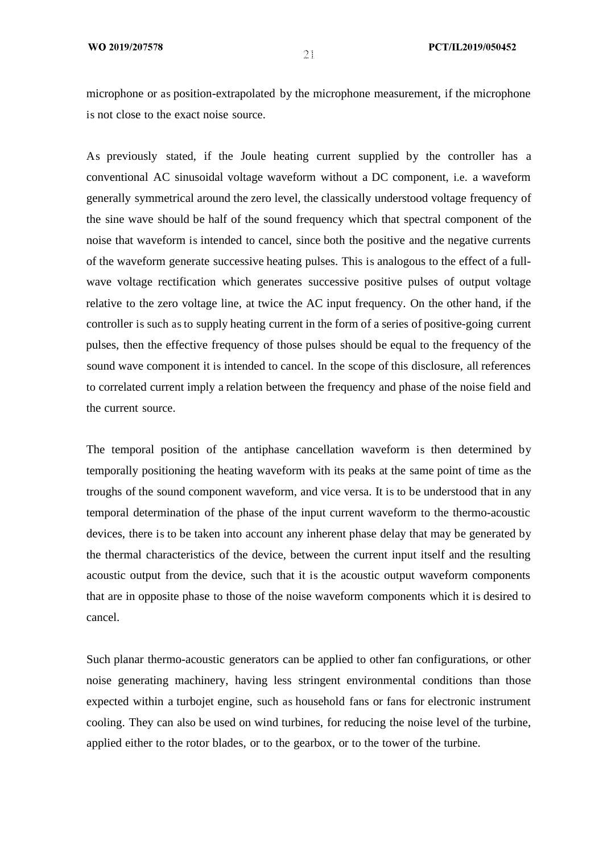microphone or as position-extrapolated by the microphone measurement, if the microphone is not close to the exact noise source.

As previously stated, if the Joule heating current supplied by the controller has a conventional AC sinusoidal voltage waveform without a DC component, i.e. a waveform generally symmetrical around the zero level, the classically understood voltage frequency of the sine wave should be half of the sound frequency which that spectral component of the noise that waveform is intended to cancel, since both the positive and the negative currents of the waveform generate successive heating pulses. This is analogous to the effect of a fullwave voltage rectification which generates successive positive pulses of output voltage relative to the zero voltage line, at twice the AC input frequency. On the other hand, if the controller is such as to supply heating current in the form of a series of positive-going current pulses, then the effective frequency of those pulses should be equal to the frequency of the sound wave component it is intended to cancel. In the scope of this disclosure, all references to correlated current imply a relation between the frequency and phase of the noise field and the current source.

The temporal position of the antiphase cancellation waveform is then determined by temporally positioning the heating waveform with its peaks at the same point of time as the troughs of the sound component waveform, and vice versa. It is to be understood that in any temporal determination of the phase of the input current waveform to the thermo-acoustic devices, there is to be taken into account any inherent phase delay that may be generated by the thermal characteristics of the device, between the current input itself and the resulting acoustic output from the device, such that it is the acoustic output waveform components that are in opposite phase to those of the noise waveform components which it is desired to cancel.

Such planar thermo-acoustic generators can be applied to other fan configurations, or other noise generating machinery, having less stringent environmental conditions than those expected within a turbojet engine, such as household fans or fans for electronic instrument cooling. They can also be used on wind turbines, for reducing the noise level of the turbine, applied either to the rotor blades, or to the gearbox, or to the tower of the turbine.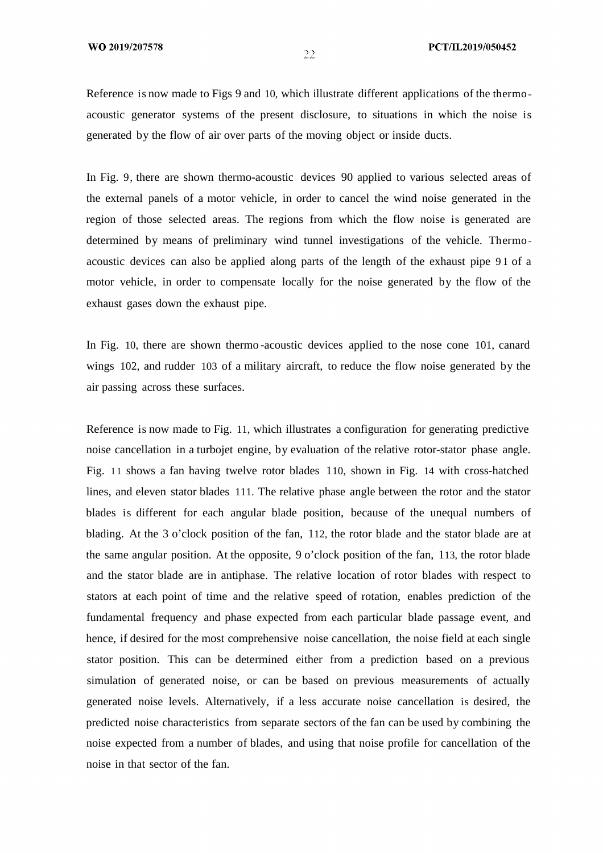Reference is now made to Figs 9 and 10, which illustrate different applications of the thermo acoustic generator systems of the present disclosure, to situations in which the noise is generated by the flow of air over parts of the moving object or inside ducts.

In Fig. 9, there are shown thermo-acoustic devices 90 applied to various selected areas of the external panels of a motor vehicle, in order to cancel the wind noise generated in the region of those selected areas. The regions from which the flow noise is generated are determined by means of preliminary wind tunnel investigations of the vehicle. Thermo acoustic devices can also be applied along parts of the length of the exhaust pipe 9 1 of a motor vehicle, in order to compensate locally for the noise generated by the flow of the exhaust gases down the exhaust pipe.

In Fig. 10, there are shown thermo -acoustic devices applied to the nose cone 101, canard wings 102, and rudder 103 of a military aircraft, to reduce the flow noise generated by the air passing across these surfaces.

Reference is now made to Fig. 11, which illustrates a configuration for generating predictive noise cancellation in a turbojet engine, by evaluation of the relative rotor-stator phase angle. Fig. 11 shows a fan having twelve rotor blades 110, shown in Fig. 14 with cross-hatched lines, and eleven stator blades 111. The relative phase angle between the rotor and the stator blades is different for each angular blade position, because of the unequal numbers of blading. At the 3 o'clock position of the fan, 112, the rotor blade and the stator blade are at the same angular position. At the opposite, 9 o'clock position of the fan, 113, the rotor blade and the stator blade are in antiphase. The relative location of rotor blades with respect to stators at each point of time and the relative speed of rotation, enables prediction of the fundamental frequency and phase expected from each particular blade passage event, and hence, if desired for the most comprehensive noise cancellation, the noise field at each single stator position. This can be determined either from a prediction based on a previous simulation of generated noise, or can be based on previous measurements of actually generated noise levels. Alternatively, if a less accurate noise cancellation is desired, the predicted noise characteristics from separate sectors of the fan can be used by combining the noise expected from a number of blades, and using that noise profile for cancellation of the noise in that sector of the fan.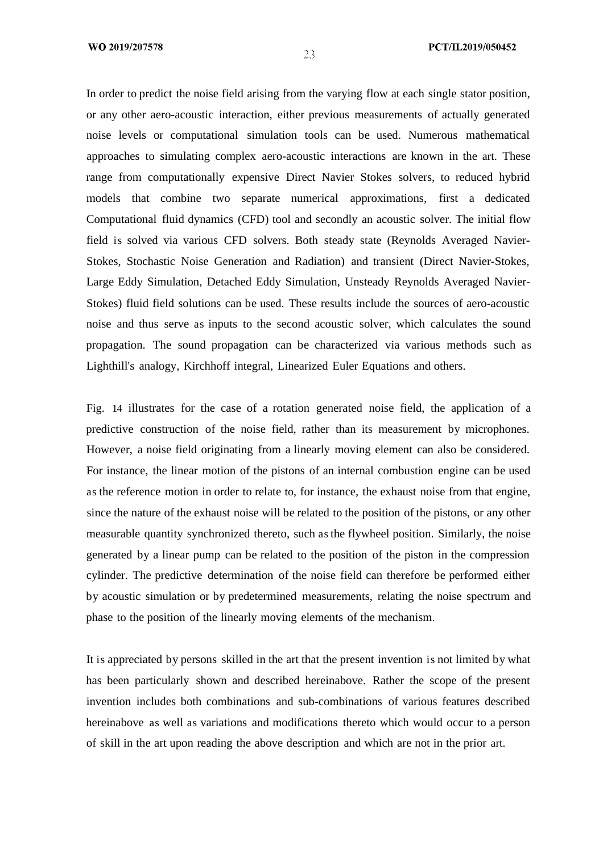#### PCT/IL2019/050452

In order to predict the noise field arising from the varying flow at each single stator position, or any other aero-acoustic interaction, either previous measurements of actually generated noise levels or computational simulation tools can be used. Numerous mathematical approaches to simulating complex aero-acoustic interactions are known in the art. These range from computationally expensive Direct Navier Stokes solvers, to reduced hybrid models that combine two separate numerical approximations, first a dedicated Computational fluid dynamics (CFD) tool and secondly an acoustic solver. The initial flow field is solved via various CFD solvers. Both steady state (Reynolds Averaged Navier-Stokes, Stochastic Noise Generation and Radiation) and transient (Direct Navier-Stokes, Large Eddy Simulation, Detached Eddy Simulation, Unsteady Reynolds Averaged Navier-Stokes) fluid field solutions can be used. These results include the sources of aero-acoustic noise and thus serve as inputs to the second acoustic solver, which calculates the sound propagation. The sound propagation can be characterized via various methods such as Lighthill's analogy, Kirchhoff integral, Linearized Euler Equations and others.

Fig. 14 illustrates for the case of a rotation generated noise field, the application of a predictive construction of the noise field, rather than its measurement by microphones. However, a noise field originating from a linearly moving element can also be considered. For instance, the linear motion of the pistons of an internal combustion engine can be used as the reference motion in order to relate to, for instance, the exhaust noise from that engine, since the nature of the exhaust noise will be related to the position of the pistons, or any other measurable quantity synchronized thereto, such as the flywheel position. Similarly, the noise generated by a linear pump can be related to the position of the piston in the compression cylinder. The predictive determination of the noise field can therefore be performed either by acoustic simulation or by predetermined measurements, relating the noise spectrum and phase to the position of the linearly moving elements of the mechanism.

It is appreciated by persons skilled in the art that the present invention is not limited by what has been particularly shown and described hereinabove. Rather the scope of the present invention includes both combinations and sub-combinations of various features described hereinabove as well as variations and modifications thereto which would occur to a person of skill in the art upon reading the above description and which are not in the prior art.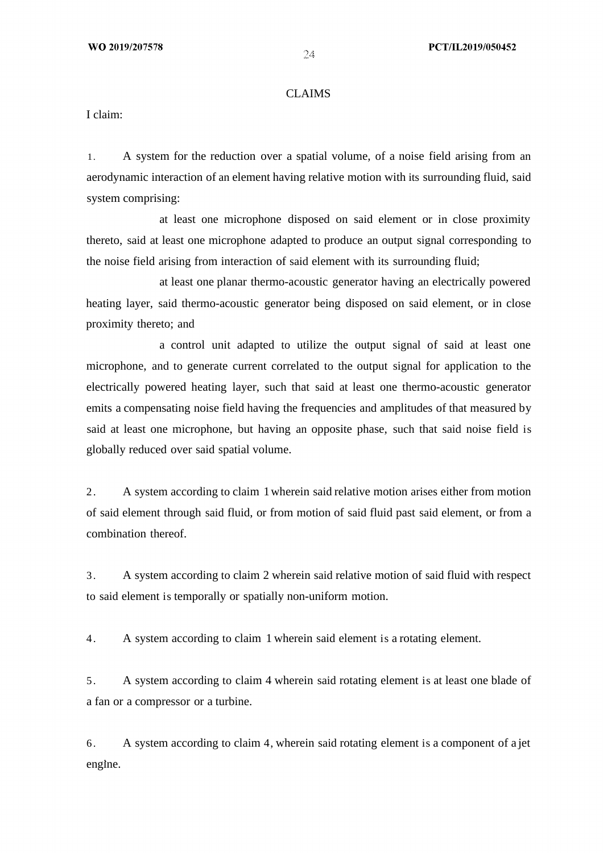### CLAIMS

I claim:

1. A system for the reduction over a spatial volume, of a noise field arising from an aerodynamic interaction of an element having relative motion with its surrounding fluid, said system comprising:

at least one microphone disposed on said element or in close proximity thereto, said at least one microphone adapted to produce an output signal corresponding to the noise field arising from interaction of said element with its surrounding fluid;

at least one planar thermo-acoustic generator having an electrically powered heating layer, said thermo-acoustic generator being disposed on said element, or in close proximity thereto; and

a control unit adapted to utilize the output signal of said at least one microphone, and to generate current correlated to the output signal for application to the electrically powered heating layer, such that said at least one thermo-acoustic generator emits a compensating noise field having the frequencies and amplitudes of that measured by said at least one microphone, but having an opposite phase, such that said noise field is globally reduced over said spatial volume.

2. A system according to claim 1wherein said relative motion arises either from motion of said element through said fluid, or from motion of said fluid past said element, or from a combination thereof.

3. A system according to claim 2 wherein said relative motion of said fluid with respect to said element is temporally or spatially non-uniform motion.

4. A system according to claim 1 wherein said element is a rotating element.

5. A system according to claim 4 wherein said rotating element is at least one blade of a fan or a compressor or a turbine.

6. A system according to claim 4, wherein said rotating element is a component of a jet engine.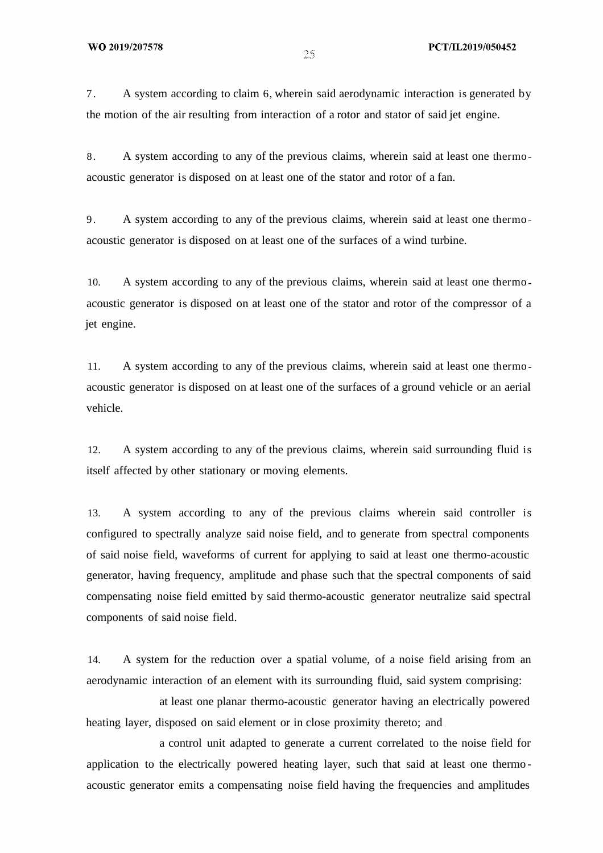7. A system according to claim 6, wherein said aerodynamic interaction is generated by the motion of the air resulting from interaction of a rotor and stator of said jet engine.

8. A system according to any of the previous claims, wherein said at least one thermo acoustic generator is disposed on at least one of the stator and rotor of a fan.

9. A system according to any of the previous claims, wherein said at least one thermo acoustic generator is disposed on at least one of the surfaces of a wind turbine.

10. A system according to any of the previous claims, wherein said at least one thermo acoustic generator is disposed on at least one of the stator and rotor of the compressor of a jet engine.

11. A system according to any of the previous claims, wherein said at least one thermo acoustic generator is disposed on at least one of the surfaces of a ground vehicle or an aerial vehicle.

12. A system according to any of the previous claims, wherein said surrounding fluid is itself affected by other stationary or moving elements.

13. A system according to any of the previous claims wherein said controller is configured to spectrally analyze said noise field, and to generate from spectral components of said noise field, waveforms of current for applying to said at least one thermo-acoustic generator, having frequency, amplitude and phase such that the spectral components of said compensating noise field emitted by said thermo-acoustic generator neutralize said spectral components of said noise field.

14. A system for the reduction over a spatial volume, of a noise field arising from an aerodynamic interaction of an element with its surrounding fluid, said system comprising:

at least one planar thermo-acoustic generator having an electrically powered heating layer, disposed on said element or in close proximity thereto; and

a control unit adapted to generate a current correlated to the noise field for application to the electrically powered heating layer, such that said at least one thermo acoustic generator emits a compensating noise field having the frequencies and amplitudes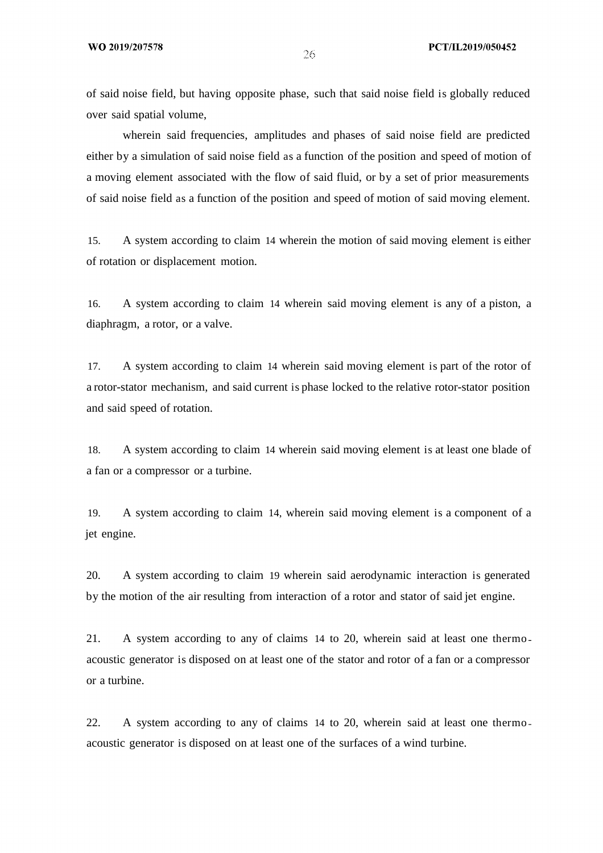of said noise field, but having opposite phase, such that said noise field is globally reduced over said spatial volume,

wherein said frequencies, amplitudes and phases of said noise field are predicted either by a simulation of said noise field as a function of the position and speed of motion of a moving element associated with the flow of said fluid, or by a set of prior measurements of said noise field as a function of the position and speed of motion of said moving element.

15. A system according to claim 14 wherein the motion of said moving element is either of rotation or displacement motion.

16. A system according to claim 14 wherein said moving element is any of a piston, a diaphragm, a rotor, or a valve.

17. A system according to claim 14 wherein said moving element is part of the rotor of a rotor-stator mechanism, and said current is phase locked to the relative rotor-stator position and said speed of rotation.

18. A system according to claim 14 wherein said moving element is at least one blade of a fan or a compressor or a turbine.

19. A system according to claim 14, wherein said moving element is a component of a jet engine.

20. A system according to claim 19 wherein said aerodynamic interaction is generated by the motion of the air resulting from interaction of a rotor and stator of said jet engine.

21. A system according to any of claims 14 to 20, wherein said at least one thermo acoustic generator is disposed on at least one of the stator and rotor of a fan or a compressor or a turbine.

22. A system according to any of claims 14 to 20, wherein said at least one thermo acoustic generator is disposed on at least one of the surfaces of a wind turbine.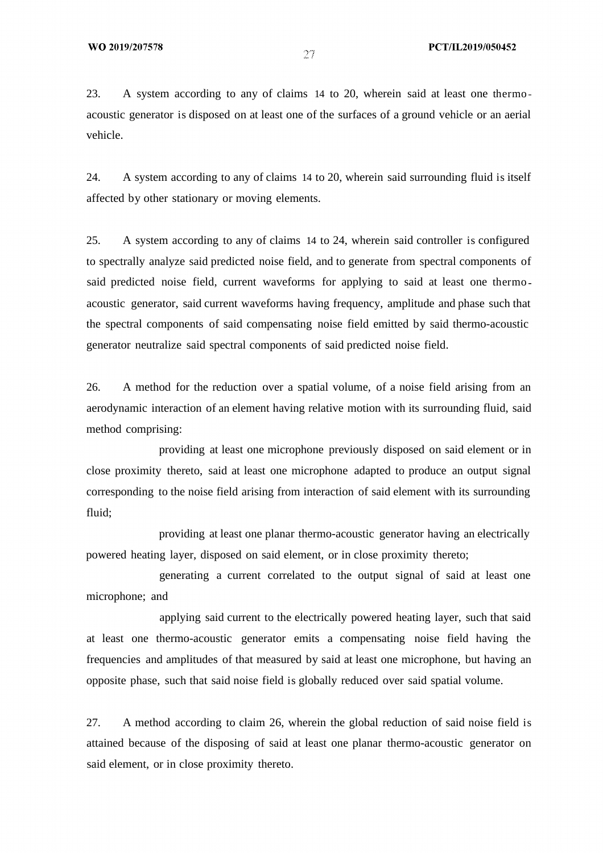23. A system according to any of claims 14 to 20, wherein said at least one thermo acoustic generator is disposed on at least one of the surfaces of a ground vehicle or an aerial vehicle.

24. A system according to any of claims 14 to 20, wherein said surrounding fluid is itself affected by other stationary or moving elements.

25. A system according to any of claims 14 to 24, wherein said controller is configured to spectrally analyze said predicted noise field, and to generate from spectral components of said predicted noise field, current waveforms for applying to said at least one thermo acoustic generator, said current waveforms having frequency, amplitude and phase such that the spectral components of said compensating noise field emitted by said thermo-acoustic generator neutralize said spectral components of said predicted noise field.

26. A method for the reduction over a spatial volume, of a noise field arising from an aerodynamic interaction of an element having relative motion with its surrounding fluid, said method comprising:

providing at least one microphone previously disposed on said element or in close proximity thereto, said at least one microphone adapted to produce an output signal corresponding to the noise field arising from interaction of said element with its surrounding fluid;

providing at least one planar thermo-acoustic generator having an electrically powered heating layer, disposed on said element, or in close proximity thereto;

generating a current correlated to the output signal of said at least one microphone; and

applying said current to the electrically powered heating layer, such that said at least one thermo-acoustic generator emits a compensating noise field having the frequencies and amplitudes of that measured by said at least one microphone, but having an opposite phase, such that said noise field is globally reduced over said spatial volume.

27. A method according to claim 26, wherein the global reduction of said noise field is attained because of the disposing of said at least one planar thermo-acoustic generator on said element, or in close proximity thereto.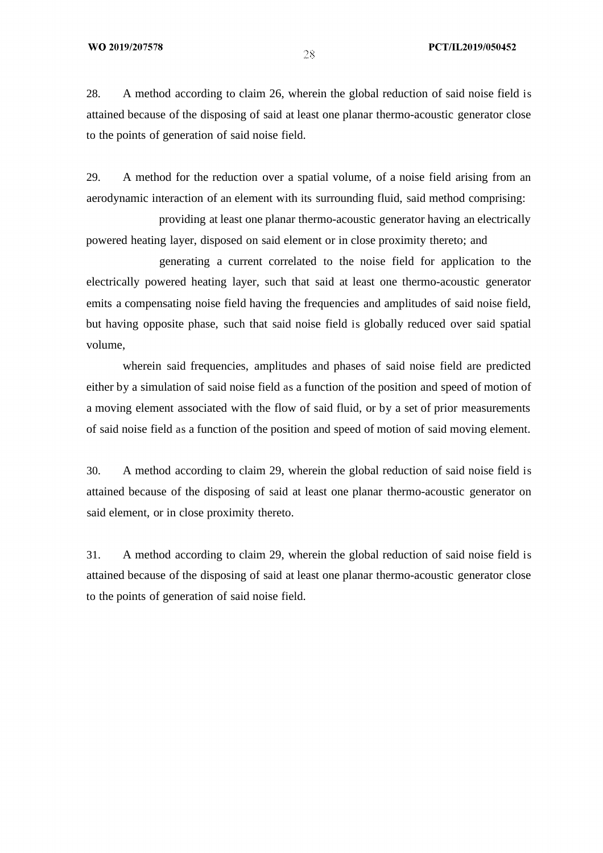28. A method according to claim 26, wherein the global reduction of said noise field is attained because of the disposing of said at least one planar thermo-acoustic generator close to the points of generation of said noise field.

29. A method for the reduction over a spatial volume, of a noise field arising from an aerodynamic interaction of an element with its surrounding fluid, said method comprising:

providing at least one planar thermo-acoustic generator having an electrically powered heating layer, disposed on said element or in close proximity thereto; and

generating a current correlated to the noise field for application to the electrically powered heating layer, such that said at least one thermo-acoustic generator emits a compensating noise field having the frequencies and amplitudes of said noise field, but having opposite phase, such that said noise field is globally reduced over said spatial volume,

wherein said frequencies, amplitudes and phases of said noise field are predicted either by a simulation of said noise field as a function of the position and speed of motion of a moving element associated with the flow of said fluid, or by a set of prior measurements of said noise field as a function of the position and speed of motion of said moving element.

30. A method according to claim 29, wherein the global reduction of said noise field is attained because of the disposing of said at least one planar thermo-acoustic generator on said element, or in close proximity thereto.

31. A method according to claim 29, wherein the global reduction of said noise field is attained because of the disposing of said at least one planar thermo-acoustic generator close to the points of generation of said noise field.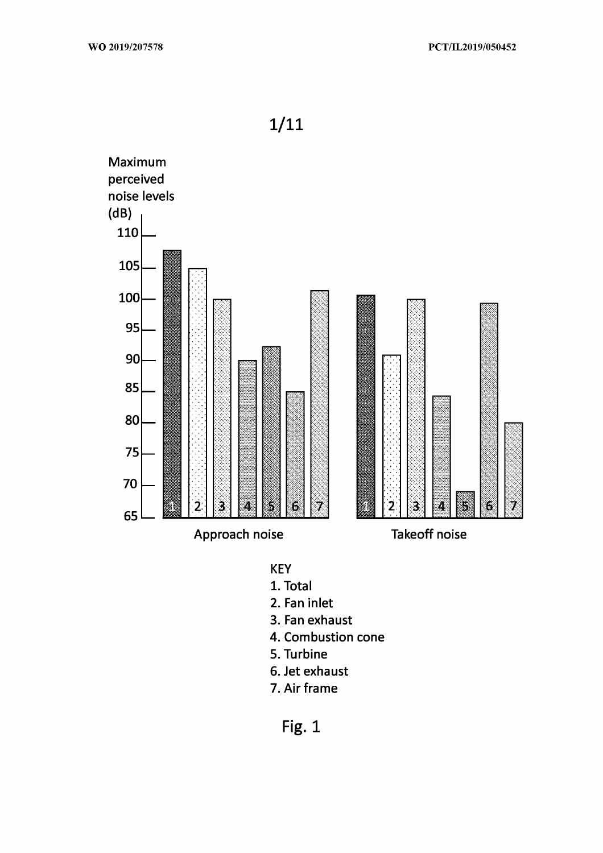

**KEY** 

- 1. Total
- 2. Fan inlet
- 3. Fan exhaust
- 4. Combustion cone
- 5. Turbine
- 6. Jet exhaust
- 7. Air frame

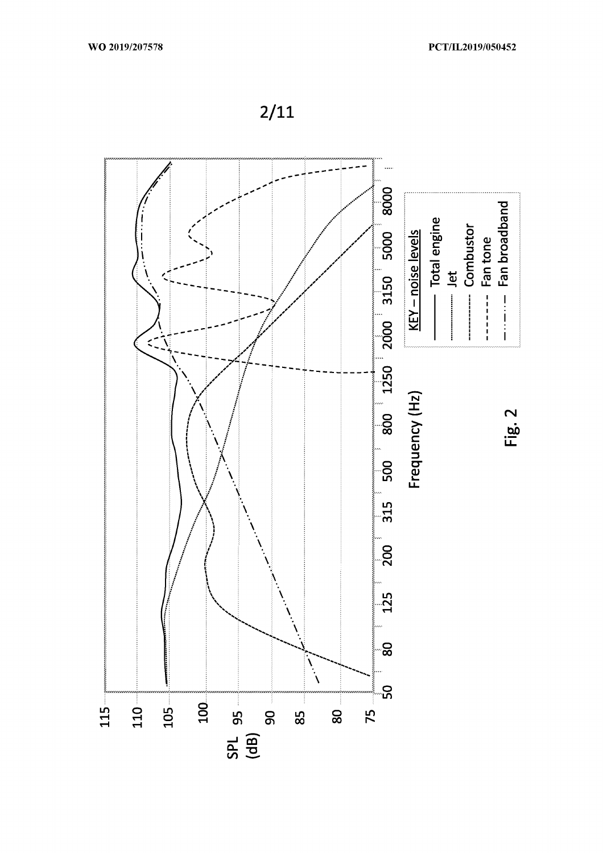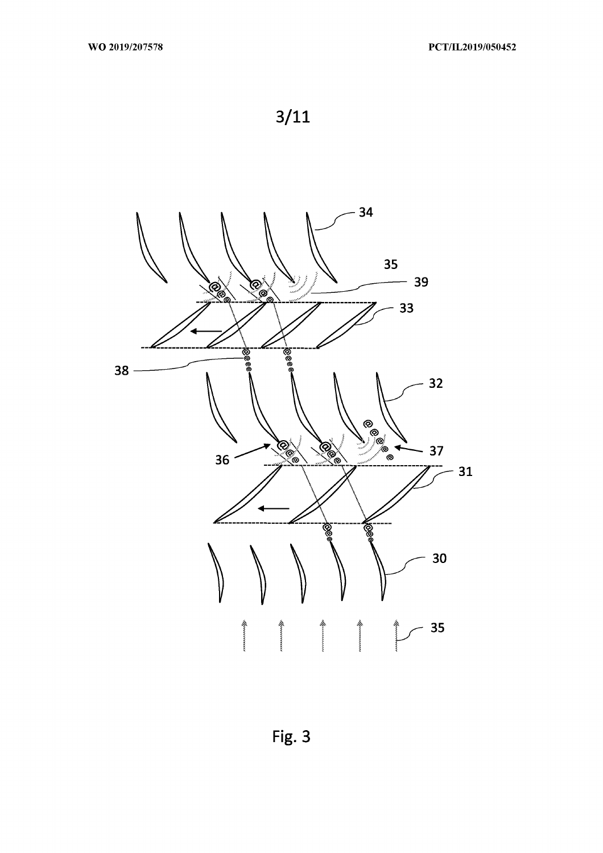



Fig. 3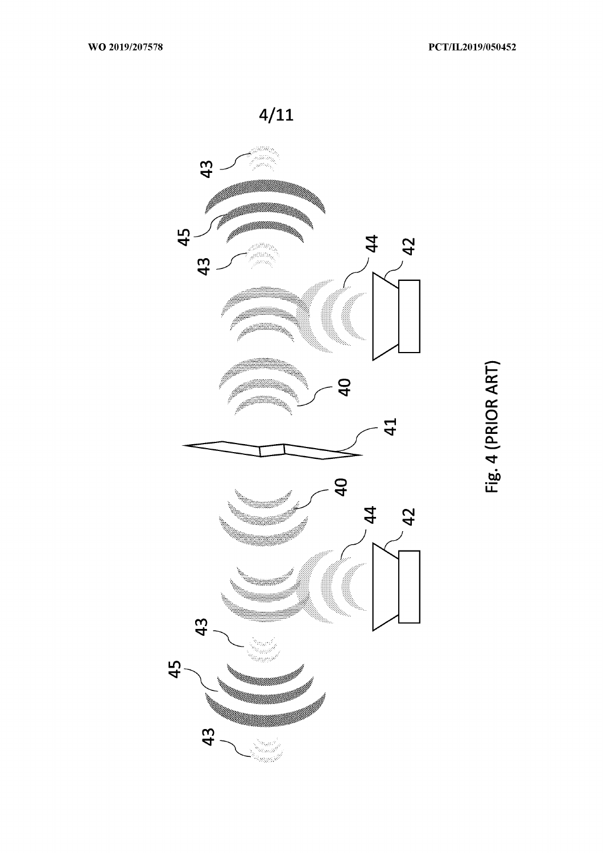

Fig. 4 (PRIOR ART)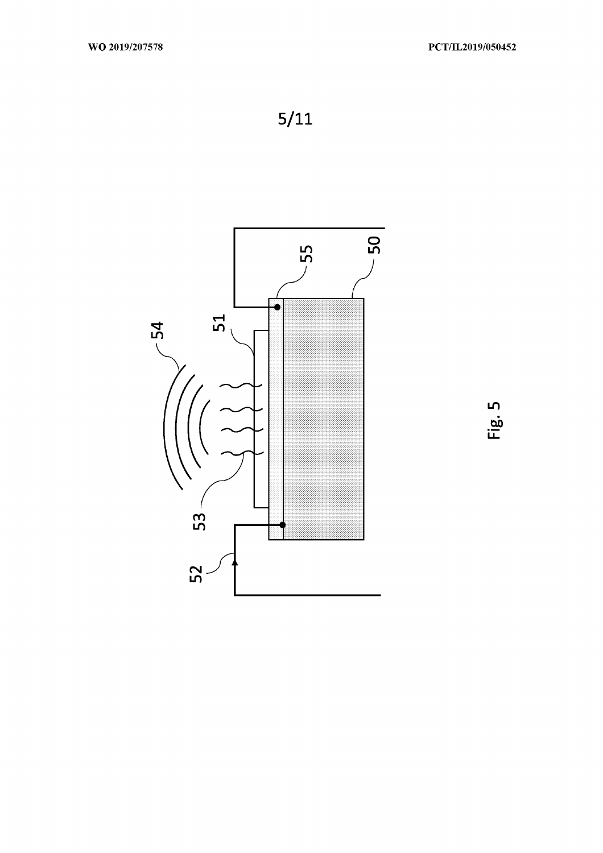

Fig. 5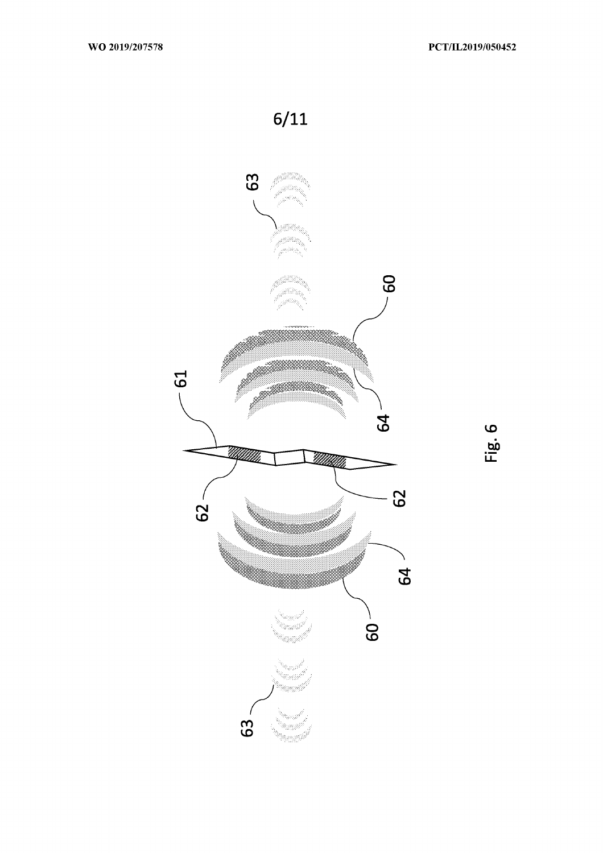

Fig. 6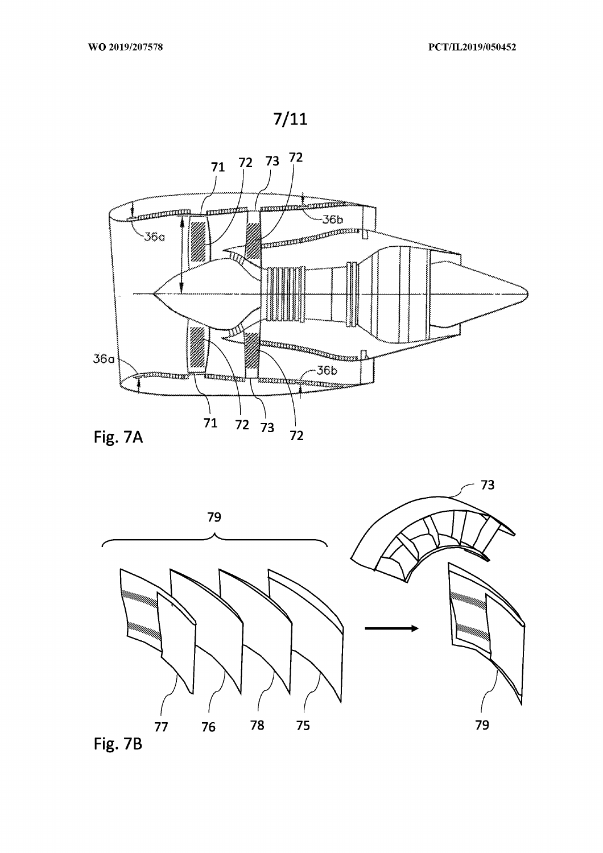



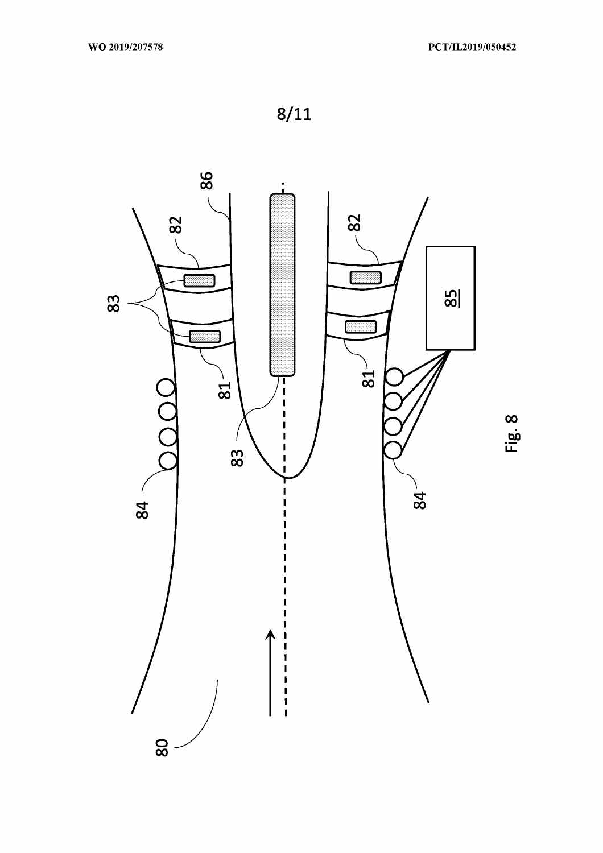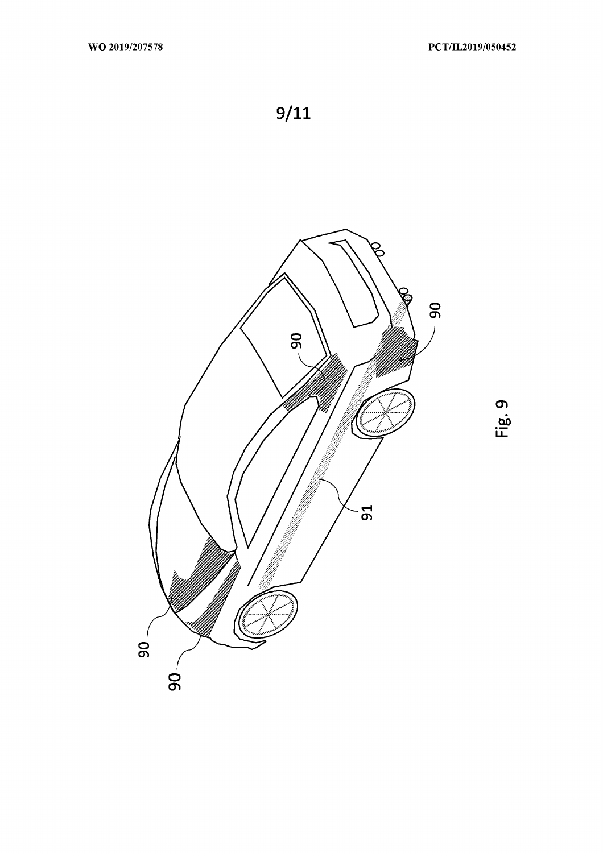

Fig. 9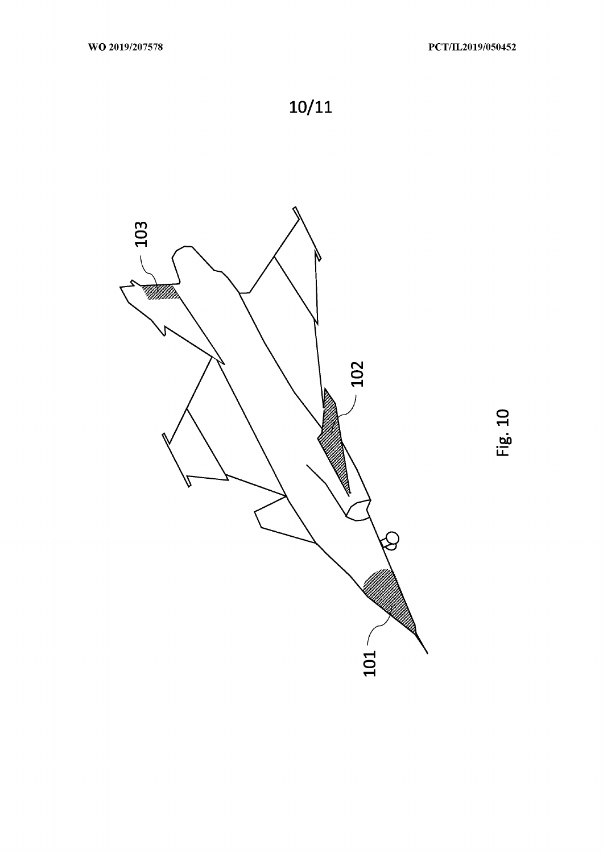

Fig. 10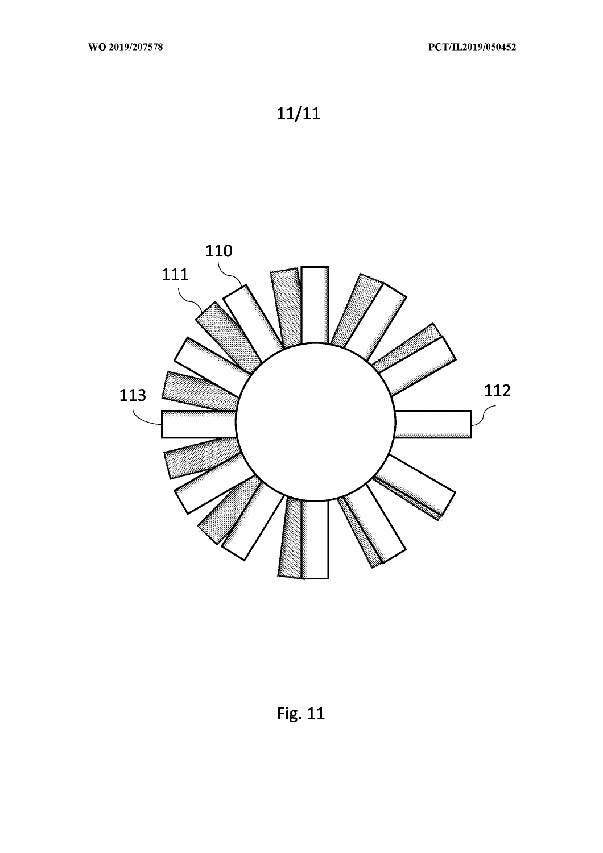

**Fig. 11**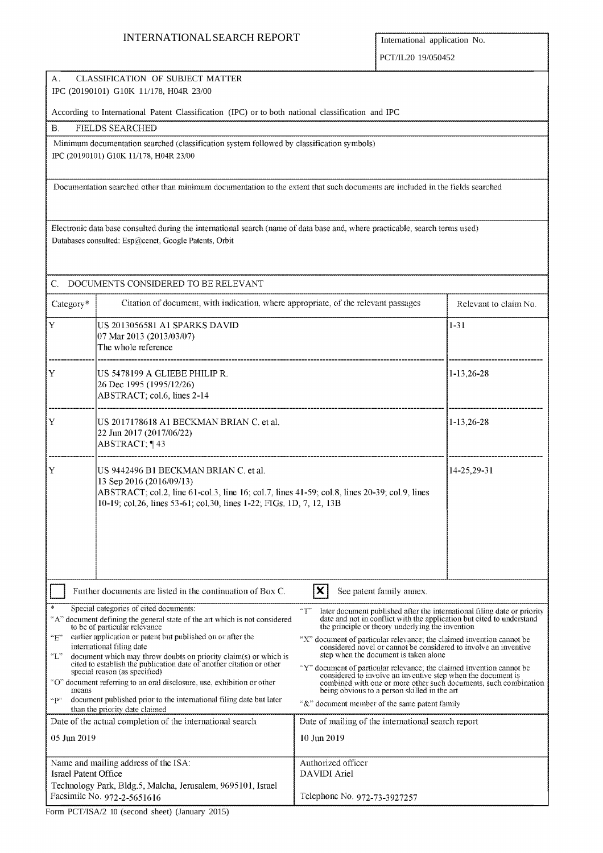# INTERNATIONAL SEARCH REPORT **International application No.**

PCT/IL20 19/050452

| CLASSIFICATION OF SUBJECT MATTER<br>А.<br>IPC (20190101) G10K 11/178, H04R 23/00                                                                                                                                                                        |                                                                                                                                                                                                                                            |                                                                                                                                                                                                                                                                                       |                       |  |  |  |
|---------------------------------------------------------------------------------------------------------------------------------------------------------------------------------------------------------------------------------------------------------|--------------------------------------------------------------------------------------------------------------------------------------------------------------------------------------------------------------------------------------------|---------------------------------------------------------------------------------------------------------------------------------------------------------------------------------------------------------------------------------------------------------------------------------------|-----------------------|--|--|--|
| According to International Patent Classification (IPC) or to both national classification and IPC                                                                                                                                                       |                                                                                                                                                                                                                                            |                                                                                                                                                                                                                                                                                       |                       |  |  |  |
| В.                                                                                                                                                                                                                                                      | <b>FIELDS SEARCHED</b>                                                                                                                                                                                                                     |                                                                                                                                                                                                                                                                                       |                       |  |  |  |
| Minimum documentation searched (classification system followed by classification symbols)<br>IPC (20190101) G10K 11/178, H04R 23/00                                                                                                                     |                                                                                                                                                                                                                                            |                                                                                                                                                                                                                                                                                       |                       |  |  |  |
| Documentation searched other than minimum documentation to the extent that such documents are included in the fields searched                                                                                                                           |                                                                                                                                                                                                                                            |                                                                                                                                                                                                                                                                                       |                       |  |  |  |
| Electronic data base consulted during the international search (name of data base and, where practicable, search terms used)<br>Databases consulted: Esp@cenet, Google Patents, Orbit                                                                   |                                                                                                                                                                                                                                            |                                                                                                                                                                                                                                                                                       |                       |  |  |  |
| C.                                                                                                                                                                                                                                                      | DOCUMENTS CONSIDERED TO BE RELEVANT                                                                                                                                                                                                        |                                                                                                                                                                                                                                                                                       |                       |  |  |  |
| Category*                                                                                                                                                                                                                                               | Citation of document, with indication, where appropriate, of the relevant passages                                                                                                                                                         |                                                                                                                                                                                                                                                                                       | Relevant to claim No. |  |  |  |
| $ {\rm Y} $                                                                                                                                                                                                                                             | US 2013056581 A1 SPARKS DAVID<br>07 Mar 2013 (2013/03/07)<br>The whole reference                                                                                                                                                           |                                                                                                                                                                                                                                                                                       | $1 - 31$              |  |  |  |
| Y                                                                                                                                                                                                                                                       | US 5478199 A GLIEBE PHILIP R.<br>26 Dec 1995 (1995/12/26)<br>ABSTRACT; col.6, lines 2-14                                                                                                                                                   | $1-13,26-28$                                                                                                                                                                                                                                                                          |                       |  |  |  |
| Y                                                                                                                                                                                                                                                       | US 2017178618 A1 BECKMAN BRIAN C. et al.<br>22 Jun 2017 (2017/06/22)<br>ABSTRACT; 143                                                                                                                                                      | $1-13,26-28$                                                                                                                                                                                                                                                                          |                       |  |  |  |
| Y                                                                                                                                                                                                                                                       | US 9442496 B1 BECKMAN BRIAN C. et al.<br>13 Sep 2016 (2016/09/13)<br>ABSTRACT; col.2, line 61-col.3, line 16; col.7, lines 41-59; col.8, lines 20-39; col.9, lines<br>10-19; col.26, lines 53-61; col.30, lines 1-22; FIGs. 1D, 7, 12, 13B | 14-25,29-31                                                                                                                                                                                                                                                                           |                       |  |  |  |
| $ \mathbf{X} $<br>Further documents are listed in the continuation of Box C.<br>See patent family annex.                                                                                                                                                |                                                                                                                                                                                                                                            |                                                                                                                                                                                                                                                                                       |                       |  |  |  |
| 4<br>Special categories of cited documents:<br>"A" document defining the general state of the art which is not considered<br>to be of particular relevance<br>earlier application or patent but published on or after the<br>$\rm ^{6}E^{\prime\prime}$ |                                                                                                                                                                                                                                            | "T"<br>later document published after the international filing date or priority<br>date and not in conflict with the application but cited to understand<br>the principle or theory underlying the invention<br>"X" document of particular relevance; the claimed invention cannot be |                       |  |  |  |
| international filing date<br>$\mathbb{C}^n$<br>document which may throw doubts on priority claim(s) or which is<br>cited to establish the publication date of another citation or other<br>special reason (as specified)                                |                                                                                                                                                                                                                                            | considered novel or cannot be considered to involve an inventive<br>step when the document is taken alone<br>"Y" document of particular relevance; the claimed invention cannot be<br>considered to involve an inventive step when the document is                                    |                       |  |  |  |
| "O" document referring to an oral disclosure, use, exhibition or other<br>means<br>document published prior to the international filling date but later<br>"P"                                                                                          |                                                                                                                                                                                                                                            | combined with one or more other such documents, such combination<br>being obvious to a person skilled in the art<br>"&" document member of the same patent family                                                                                                                     |                       |  |  |  |
| than the priority date claimed<br>Date of the actual completion of the international search                                                                                                                                                             |                                                                                                                                                                                                                                            | Date of mailing of the international search report                                                                                                                                                                                                                                    |                       |  |  |  |
| 05 Jun 2019                                                                                                                                                                                                                                             |                                                                                                                                                                                                                                            | 10 Jun 2019                                                                                                                                                                                                                                                                           |                       |  |  |  |
| <b>Israel Patent Office</b>                                                                                                                                                                                                                             | Name and mailing address of the ISA:                                                                                                                                                                                                       | Authorized officer<br><b>DAVIDI</b> Ariel                                                                                                                                                                                                                                             |                       |  |  |  |
| Technology Park, Bldg.5, Malcha, Jerusalem, 9695101, Israel<br>Facsimile No. 972-2-5651616                                                                                                                                                              |                                                                                                                                                                                                                                            | Telephone No. 972-73-3927257                                                                                                                                                                                                                                                          |                       |  |  |  |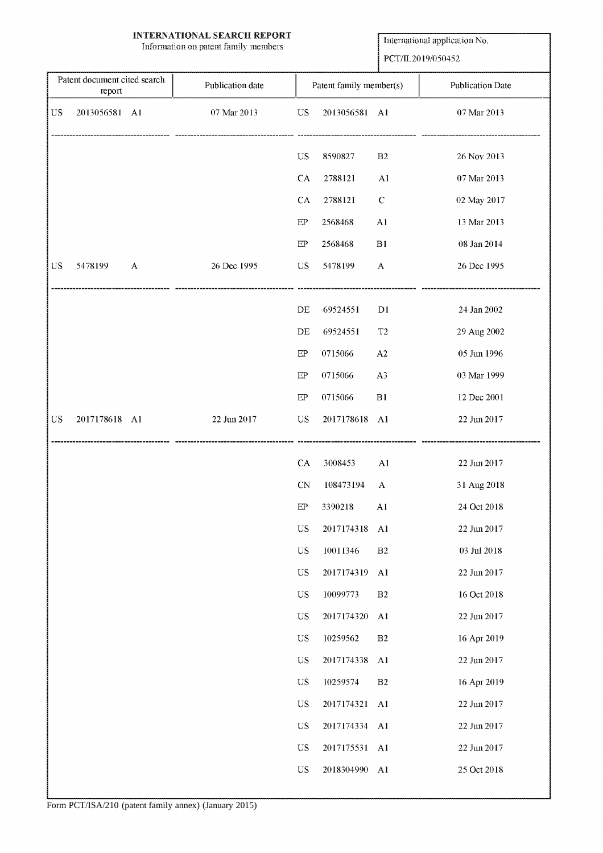# **INTERNATIONAL SEARCH REPORT**

Information on patent family members

International application No.

PCT/IL2019/050452

| Patent document cited search |                         | Publication date |             | Patent family member(s) |                           | <b>Publication Date</b> |
|------------------------------|-------------------------|------------------|-------------|-------------------------|---------------------------|-------------------------|
|                              | report                  |                  |             |                         |                           |                         |
| <b>US</b>                    | 2013056581 A1           | 07 Mar 2013      | $_{\rm US}$ | 2013056581 A1           |                           | 07 Mar 2013             |
|                              |                         |                  | <b>US</b>   | 8590827                 | B2                        | 26 Nov 2013             |
|                              |                         |                  | CA          | 2788121                 | A1                        | 07 Mar 2013             |
|                              |                         |                  | CA          | 2788121                 | $\mathbf C$               | 02 May 2017             |
|                              |                         |                  | EP          | 2568468                 | Al                        | 13 Mar 2013             |
|                              |                         |                  | EP          | 2568468                 | B1                        | 08 Jan 2014             |
| <b>US</b>                    | 5478199<br>$\mathbf{A}$ | 26 Dec 1995      | US          | 5478199                 | $\boldsymbol{\mathsf{A}}$ | 26 Dec 1995             |
|                              |                         |                  | DE          | 69524551                | D <sub>1</sub>            | 24 Jan 2002             |
|                              |                         |                  | DE          | 69524551                | T <sub>2</sub>            | 29 Aug 2002             |
|                              |                         |                  | $\rm EP$    | 0715066                 | A <sub>2</sub>            | 05 Jun 1996             |
|                              |                         |                  | EP          | 0715066                 | A <sub>3</sub>            | 03 Mar 1999             |
|                              |                         |                  | EP          | 0715066                 | B1                        | 12 Dec 2001             |
| US                           | 2017178618 A1           | 22 Jun 2017      | <b>US</b>   | 2017178618              | A1                        | 22 Jun 2017             |
|                              |                         |                  | CA          | 3008453                 | A <sub>1</sub>            | 22 Jun 2017             |
|                              |                         |                  | <b>CN</b>   | 108473194               | A                         | 31 Aug 2018             |
|                              |                         |                  | EP          | 3390218                 | A <sub>1</sub>            | 24 Oct 2018             |
|                              |                         |                  | $_{\rm US}$ | 2017174318              | A <sub>1</sub>            | 22 Jun 2017             |
|                              |                         |                  | $_{\rm US}$ | 10011346                | $\mathbf{B2}$             | $03$ Jul $2018\,$       |
|                              |                         |                  | US          | 2017174319              | A <sub>1</sub>            | 22 Jun 2017             |
|                              |                         |                  | $_{\rm US}$ | 10099773                | B2                        | 16 Oct 2018             |
|                              |                         |                  | US          | 2017174320              | A1                        | 22 Jun 2017             |
|                              |                         |                  | $_{\rm US}$ | 10259562                | $\rm B2$                  | 16 Apr 2019             |
|                              |                         |                  | US          | 2017174338              | A <sub>1</sub>            | 22 Jun 2017             |
|                              |                         |                  | $_{\rm US}$ | 10259574                | B <sub>2</sub>            | 16 Apr 2019             |
|                              |                         |                  | $_{\rm US}$ | 2017174321              | A <sub>1</sub>            | 22 Jun 2017             |
|                              |                         |                  | US          | 2017174334              | A1                        | 22 Jun 2017             |
|                              |                         |                  | US          | 2017175531              | A1                        | 22 Jun 2017             |
|                              |                         |                  | $_{\rm US}$ | 2018304990              | A <sub>1</sub>            | 25 Oct 2018             |
|                              |                         |                  |             |                         |                           |                         |